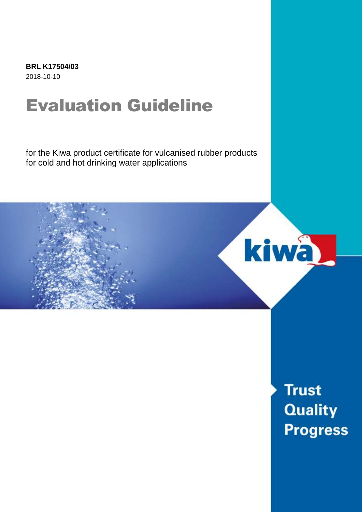**BRL K17504/03** 2018-10-10

# Evaluation Guideline

for the Kiwa product certificate for vulcanised rubber products for cold and hot drinking water applications



**Trust Quality Progress**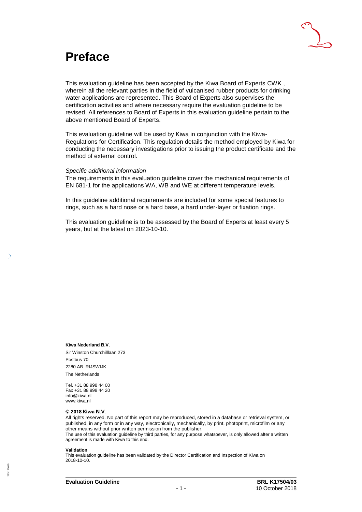

### **Preface**

This evaluation guideline has been accepted by the Kiwa Board of Experts CWK , wherein all the relevant parties in the field of vulcanised rubber products for drinking water applications are represented. This Board of Experts also supervises the certification activities and where necessary require the evaluation guideline to be revised. All references to Board of Experts in this evaluation guideline pertain to the above mentioned Board of Experts.

This evaluation guideline will be used by Kiwa in conjunction with the Kiwa-Regulations for Certification. This regulation details the method employed by Kiwa for conducting the necessary investigations prior to issuing the product certificate and the method of external control.

#### *Specific additional information*

The requirements in this evaluation guideline cover the mechanical requirements of EN 681-1 for the applications WA, WB and WE at different temperature levels.

In this guideline additional requirements are included for some special features to rings, such as a hard nose or a hard base, a hard under-layer or fixation rings.

This evaluation guideline is to be assessed by the Board of Experts at least every 5 years, but at the latest on 2023-10-10.

**Kiwa Nederland B.V.** Sir Winston Churchilllaan 273 Postbus 70 2280 AB RIJSWIJK The Netherlands

Tel. +31 88 998 44 00 Fax +31 88 998 44 20 info@kiwa.nl www.kiwa.nl

#### **© 2018 Kiwa N.V.**

All rights reserved. No part of this report may be reproduced, stored in a database or retrieval system, or published, in any form or in any way, electronically, mechanically, by print, photoprint, microfilm or any other means without prior written permission from the publisher.

The use of this evaluation guideline by third parties, for any purpose whatsoever, is only allowed after a written agreement is made with Kiwa to this end.

#### **Validation**

This evaluation guideline has been validated by the Director Certification and Inspection of Kiwa on 2018-10-10.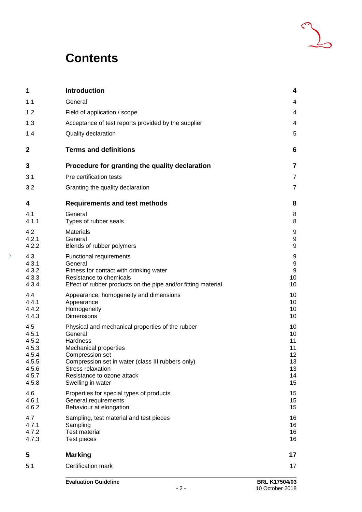### **Contents**

| 1                                                                           | Introduction                                                                                                                                                                                                                                                   | 4                                                  |
|-----------------------------------------------------------------------------|----------------------------------------------------------------------------------------------------------------------------------------------------------------------------------------------------------------------------------------------------------------|----------------------------------------------------|
| 1.1                                                                         | General                                                                                                                                                                                                                                                        | 4                                                  |
| 1.2                                                                         | Field of application / scope                                                                                                                                                                                                                                   | 4                                                  |
| 1.3                                                                         | Acceptance of test reports provided by the supplier                                                                                                                                                                                                            | 4                                                  |
| 1.4                                                                         | Quality declaration                                                                                                                                                                                                                                            | 5                                                  |
| $\mathbf{2}$                                                                | <b>Terms and definitions</b>                                                                                                                                                                                                                                   | 6                                                  |
| 3                                                                           | Procedure for granting the quality declaration                                                                                                                                                                                                                 | 7                                                  |
| 3.1                                                                         | Pre certification tests                                                                                                                                                                                                                                        | 7                                                  |
| 3.2                                                                         | Granting the quality declaration                                                                                                                                                                                                                               | 7                                                  |
| 4                                                                           | <b>Requirements and test methods</b>                                                                                                                                                                                                                           | 8                                                  |
| 4.1<br>4.1.1                                                                | General<br>Types of rubber seals                                                                                                                                                                                                                               | 8<br>8                                             |
| 4.2<br>4.2.1<br>4.2.2                                                       | <b>Materials</b><br>General<br>Blends of rubber polymers                                                                                                                                                                                                       | 9<br>9<br>9                                        |
| 4.3<br>4.3.1<br>4.3.2<br>4.3.3<br>4.3.4                                     | <b>Functional requirements</b><br>General<br>Fitness for contact with drinking water<br>Resistance to chemicals<br>Effect of rubber products on the pipe and/or fitting material                                                                               | 9<br>9<br>$\boldsymbol{9}$<br>10<br>10             |
| 4.4<br>4.4.1<br>4.4.2<br>4.4.3                                              | Appearance, homogeneity and dimensions<br>Appearance<br>Homogeneity<br><b>Dimensions</b>                                                                                                                                                                       | 10<br>10<br>10<br>10                               |
| 4.5<br>4.5.1<br>4.5.2<br>4.5.3<br>4.5.4<br>4.5.5<br>4.5.6<br>4.5.7<br>4.5.8 | Physical and mechanical properties of the rubber<br>General<br>Hardness<br><b>Mechanical properties</b><br>Compression set<br>Compression set in water (class III rubbers only)<br><b>Stress relaxation</b><br>Resistance to ozone attack<br>Swelling in water | 10<br>10<br>11<br>11<br>12<br>13<br>13<br>14<br>15 |
| 4.6<br>4.6.1<br>4.6.2                                                       | Properties for special types of products<br>General requirements<br>Behaviour at elongation                                                                                                                                                                    | 15<br>15<br>15                                     |
| 4.7<br>4.7.1<br>4.7.2<br>4.7.3                                              | Sampling, test material and test pieces<br>Sampling<br><b>Test material</b><br>Test pieces                                                                                                                                                                     | 16<br>16<br>16<br>16                               |
| 5                                                                           | <b>Marking</b>                                                                                                                                                                                                                                                 | 17                                                 |
| 5.1                                                                         | Certification mark                                                                                                                                                                                                                                             | 17                                                 |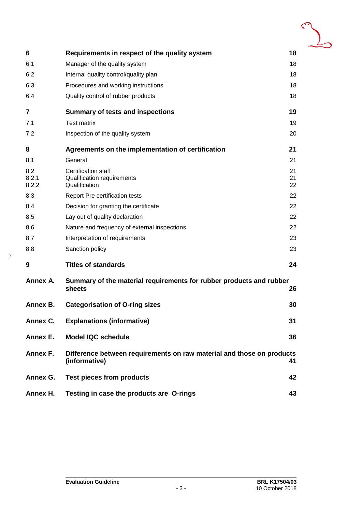| 6                     | Requirements in respect of the quality system                                          | 18             |
|-----------------------|----------------------------------------------------------------------------------------|----------------|
| 6.1                   | Manager of the quality system                                                          | 18             |
| 6.2                   | Internal quality control/quality plan                                                  | 18             |
| 6.3                   | Procedures and working instructions                                                    | 18             |
| 6.4                   | Quality control of rubber products                                                     |                |
| 7                     | <b>Summary of tests and inspections</b>                                                | 19             |
| 7.1                   | <b>Test matrix</b>                                                                     | 19             |
| 7.2                   | Inspection of the quality system                                                       | 20             |
| 8                     | Agreements on the implementation of certification                                      | 21             |
| 8.1                   | General                                                                                | 21             |
| 8.2<br>8.2.1<br>8.2.2 | <b>Certification staff</b><br><b>Qualification requirements</b><br>Qualification       | 21<br>21<br>22 |
| 8.3                   | <b>Report Pre certification tests</b>                                                  | 22             |
| 8.4                   | Decision for granting the certificate                                                  | 22             |
| 8.5                   | Lay out of quality declaration                                                         | 22             |
| 8.6                   | Nature and frequency of external inspections                                           |                |
| 8.7                   | Interpretation of requirements                                                         | 23             |
| 8.8                   | Sanction policy                                                                        | 23             |
| 9                     | <b>Titles of standards</b>                                                             | 24             |
| Annex A.              | Summary of the material requirements for rubber products and rubber<br>sheets          | 26             |
| Annex B.              | <b>Categorisation of O-ring sizes</b>                                                  | 30             |
| Annex C.              | <b>Explanations (informative)</b>                                                      | 31             |
| Annex E.              | <b>Model IQC schedule</b><br>36                                                        |                |
| Annex F.              | Difference between requirements on raw material and those on products<br>(informative) | 41             |
| Annex G.              | <b>Test pieces from products</b>                                                       | 42             |
| Annex H.              | Testing in case the products are O-rings                                               | 43             |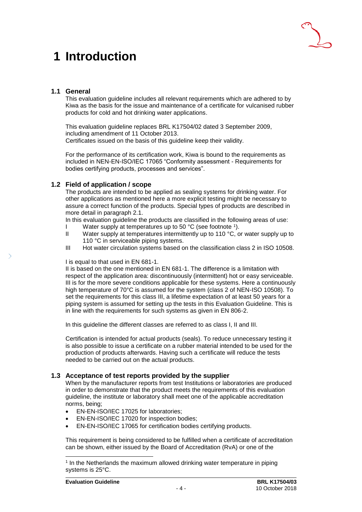## <span id="page-4-0"></span>**1 Introduction**

### <span id="page-4-1"></span>**1.1 General**

This evaluation guideline includes all relevant requirements which are adhered to by Kiwa as the basis for the issue and maintenance of a certificate for vulcanised rubber products for cold and hot drinking water applications.

This evaluation guideline replaces BRL K17504/02 dated 3 September 2009, including amendment of 11 October 2013. Certificates issued on the basis of this guideline keep their validity.

For the performance of its certification work, Kiwa is bound to the requirements as included in NEN-EN-ISO/IEC 17065 "Conformity assessment - Requirements for bodies certifying products, processes and services".

### <span id="page-4-2"></span>**1.2 Field of application / scope**

The products are intended to be applied as sealing systems for drinking water. For other applications as mentioned here a more explicit testing might be necessary to assure a correct function of the products. Special types of products are described in more detail in paragraph 2.1.

In this evaluation guideline the products are classified in the following areas of use:

- I Water supply at temperatures up to 50 °C (see footnote 1).
- II Water supply at temperatures intermittently up to 110 °C, or water supply up to 110 °C in serviceable piping systems.
- III Hot water circulation systems based on the classification class 2 in ISO 10508.

### I is equal to that used in EN 681-1.

II is based on the one mentioned in EN 681-1. The difference is a limitation with respect of the application area: discontinuously (intermittent) hot or easy serviceable. III is for the more severe conditions applicable for these systems. Here a continuously high temperature of 70°C is assumed for the system (class 2 of NEN-ISO 10508). To set the requirements for this class III, a lifetime expectation of at least 50 years for a piping system is assumed for setting up the tests in this Evaluation Guideline. This is in line with the requirements for such systems as given in EN 806-2.

In this guideline the different classes are referred to as class I, II and III.

Certification is intended for actual products (seals). To reduce unnecessary testing it is also possible to issue a certificate on a rubber material intended to be used for the production of products afterwards. Having such a certificate will reduce the tests needed to be carried out on the actual products.

### <span id="page-4-3"></span>**1.3 Acceptance of test reports provided by the supplier**

When by the manufacturer reports from test Institutions or laboratories are produced in order to demonstrate that the product meets the requirements of this evaluation guideline, the institute or laboratory shall meet one of the applicable accreditation norms, being;

- EN-EN-ISO/IEC 17025 for laboratories;
- EN-EN-ISO/IEC 17020 for inspection bodies;
- EN-EN-ISO/IEC 17065 for certification bodies certifying products.

This requirement is being considered to be fulfilled when a certificate of accreditation can be shown, either issued by the Board of Accreditation (RvA) or one of the

l

<sup>&</sup>lt;sup>1</sup> In the Netherlands the maximum allowed drinking water temperature in piping systems is 25°C.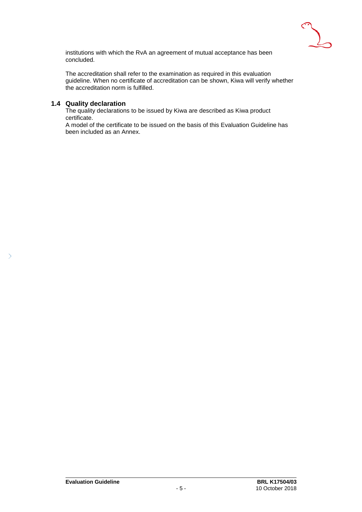

institutions with which the RvA an agreement of mutual acceptance has been concluded.

The accreditation shall refer to the examination as required in this evaluation guideline. When no certificate of accreditation can be shown, Kiwa will verify whether the accreditation norm is fulfilled.

### <span id="page-5-0"></span>**1.4 Quality declaration**

 $\mathcal{P}$ 

The quality declarations to be issued by Kiwa are described as Kiwa product certificate.

A model of the certificate to be issued on the basis of this Evaluation Guideline has been included as an Annex.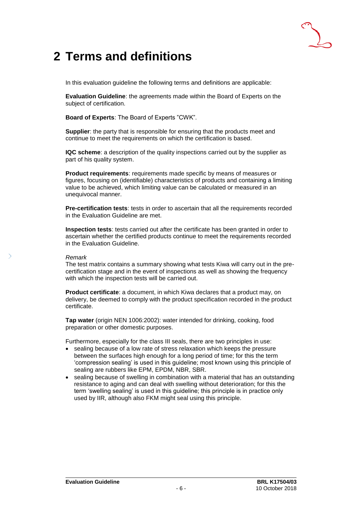

### <span id="page-6-0"></span>**2 Terms and definitions**

In this evaluation guideline the following terms and definitions are applicable:

**Evaluation Guideline**: the agreements made within the Board of Experts on the subject of certification.

**Board of Experts**: The Board of Experts "CWK".

**Supplier:** the party that is responsible for ensuring that the products meet and continue to meet the requirements on which the certification is based.

**IQC scheme**: a description of the quality inspections carried out by the supplier as part of his quality system.

**Product requirements**: requirements made specific by means of measures or figures, focusing on (identifiable) characteristics of products and containing a limiting value to be achieved, which limiting value can be calculated or measured in an unequivocal manner.

**Pre-certification tests**: tests in order to ascertain that all the requirements recorded in the Evaluation Guideline are met.

**Inspection tests**: tests carried out after the certificate has been granted in order to ascertain whether the certified products continue to meet the requirements recorded in the Evaluation Guideline.

#### *Remark*

The test matrix contains a summary showing what tests Kiwa will carry out in the precertification stage and in the event of inspections as well as showing the frequency with which the inspection tests will be carried out.

**Product certificate**: a document, in which Kiwa declares that a product may, on delivery, be deemed to comply with the product specification recorded in the product certificate.

**Tap water** (origin NEN 1006:2002): water intended for drinking, cooking, food preparation or other domestic purposes.

Furthermore, especially for the class III seals, there are two principles in use:

- sealing because of a low rate of stress relaxation which keeps the pressure between the surfaces high enough for a long period of time; for this the term 'compression sealing' is used in this guideline; most known using this principle of sealing are rubbers like EPM, EPDM, NBR, SBR.
- sealing because of swelling in combination with a material that has an outstanding resistance to aging and can deal with swelling without deterioration; for this the term 'swelling sealing' is used in this guideline; this principle is in practice only used by IIR, although also FKM might seal using this principle.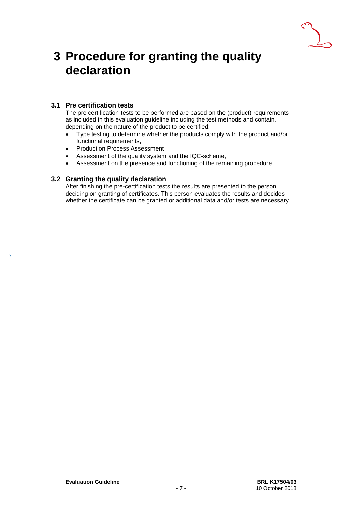

### <span id="page-7-0"></span>**3 Procedure for granting the quality declaration**

### <span id="page-7-1"></span>**3.1 Pre certification tests**

The pre certification-tests to be performed are based on the (product) requirements as included in this evaluation guideline including the test methods and contain, depending on the nature of the product to be certified:

- Type testing to determine whether the products comply with the product and/or functional requirements,
- Production Process Assessment
- Assessment of the quality system and the IQC-scheme,
- <span id="page-7-2"></span>• Assessment on the presence and functioning of the remaining procedure

### **3.2 Granting the quality declaration**

After finishing the pre-certification tests the results are presented to the person deciding on granting of certificates. This person evaluates the results and decides whether the certificate can be granted or additional data and/or tests are necessary.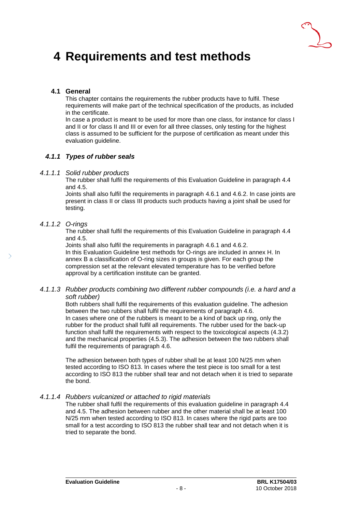

### <span id="page-8-0"></span>**4 Requirements and test methods**

### <span id="page-8-1"></span>**4.1 General**

This chapter contains the requirements the rubber products have to fulfil. These requirements will make part of the technical specification of the products, as included in the certificate.

In case a product is meant to be used for more than one class, for instance for class I and II or for class II and III or even for all three classes, only testing for the highest class is assumed to be sufficient for the purpose of certification as meant under this evaluation guideline.

### <span id="page-8-2"></span>*4.1.1 Types of rubber seals*

### *4.1.1.1 Solid rubber products*

The rubber shall fulfil the requirements of this Evaluation Guideline in paragraph 4.4 and 4.5.

Joints shall also fulfil the requirements in paragraph 4.6.1 and 4.6.2. In case joints are present in class II or class III products such products having a joint shall be used for testing.

### *4.1.1.2 O-rings*

The rubber shall fulfil the requirements of this Evaluation Guideline in paragraph 4.4 and 4.5.

Joints shall also fulfil the requirements in paragraph 4.6.1 and 4.6.2. In this Evaluation Guideline test methods for O-rings are included in annex H. In annex B a classification of O-ring sizes in groups is given. For each group the compression set at the relevant elevated temperature has to be verified before approval by a certification institute can be granted.

### *4.1.1.3 Rubber products combining two different rubber compounds (i.e. a hard and a soft rubber)*

Both rubbers shall fulfil the requirements of this evaluation guideline. The adhesion between the two rubbers shall fulfil the requirements of paragraph 4.6. In cases where one of the rubbers is meant to be a kind of back up ring, only the rubber for the product shall fulfil all requirements. The rubber used for the back-up function shall fulfil the requirements with respect to the toxicological aspects (4.3.2) and the mechanical properties (4.5.3). The adhesion between the two rubbers shall fulfil the requirements of paragraph 4.6.

The adhesion between both types of rubber shall be at least 100 N/25 mm when tested according to ISO 813. In cases where the test piece is too small for a test according to ISO 813 the rubber shall tear and not detach when it is tried to separate the bond.

### *4.1.1.4 Rubbers vulcanized or attached to rigid materials*

The rubber shall fulfil the requirements of this evaluation guideline in paragraph 4.4 and 4.5. The adhesion between rubber and the other material shall be at least 100 N/25 mm when tested according to ISO 813. In cases where the rigid parts are too small for a test according to ISO 813 the rubber shall tear and not detach when it is tried to separate the bond.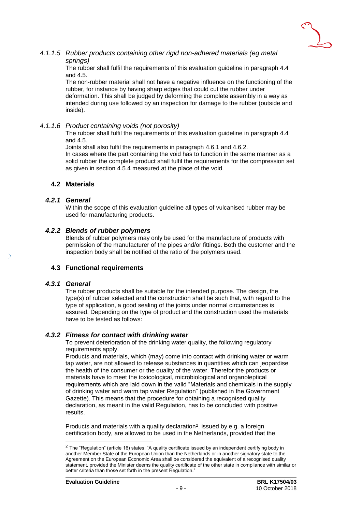

### *4.1.1.5 Rubber products containing other rigid non-adhered materials (eg metal springs)*

The rubber shall fulfil the requirements of this evaluation guideline in paragraph 4.4 and 4.5.

The non-rubber material shall not have a negative influence on the functioning of the rubber, for instance by having sharp edges that could cut the rubber under deformation. This shall be judged by deforming the complete assembly in a way as intended during use followed by an inspection for damage to the rubber (outside and inside).

### *4.1.1.6 Product containing voids (not porosity)*

The rubber shall fulfil the requirements of this evaluation guideline in paragraph 4.4 and 4.5.

Joints shall also fulfil the requirements in paragraph 4.6.1 and 4.6.2.

In cases where the part containing the void has to function in the same manner as a solid rubber the complete product shall fulfil the requirements for the compression set as given in section 4.5.4 measured at the place of the void.

### <span id="page-9-1"></span><span id="page-9-0"></span>**4.2 Materials**

### *4.2.1 General*

<span id="page-9-2"></span>Within the scope of this evaluation guideline all types of vulcanised rubber may be used for manufacturing products.

### *4.2.2 Blends of rubber polymers*

Blends of rubber polymers may only be used for the manufacture of products with permission of the manufacturer of the pipes and/or fittings. Both the customer and the inspection body shall be notified of the ratio of the polymers used.

### <span id="page-9-4"></span><span id="page-9-3"></span>**4.3 Functional requirements**

#### *4.3.1 General*

l

The rubber products shall be suitable for the intended purpose. The design, the type(s) of rubber selected and the construction shall be such that, with regard to the type of application, a good sealing of the joints under normal circumstances is assured. Depending on the type of product and the construction used the materials have to be tested as follows:

### *4.3.2 Fitness for contact with drinking water*

<span id="page-9-5"></span>To prevent deterioration of the drinking water quality, the following regulatory requirements apply.

Products and materials, which (may) come into contact with drinking water or warm tap water, are not allowed to release substances in quantities which can jeopardise the health of the consumer or the quality of the water. Therefor the products or materials have to meet the toxicological, microbiological and organoleptical requirements which are laid down in the valid "Materials and chemicals in the supply of drinking water and warm tap water Regulation" (published in the Government Gazette). This means that the procedure for obtaining a recognised quality declaration, as meant in the valid Regulation, has to be concluded with positive results.

Products and materials with a quality declaration<sup>2</sup>, issued by e.g. a foreign certification body, are allowed to be used in the Netherlands, provided that the

 $2$  The "Regulation" (article 16) states: "A quality certificate issued by an independent certifying body in another Member State of the European Union than the Netherlands or in another signatory state to the Agreement on the European Economic Area shall be considered the equivalent of a recognised quality statement, provided the Minister deems the quality certificate of the other state in compliance with similar or better criteria than those set forth in the present Regulation."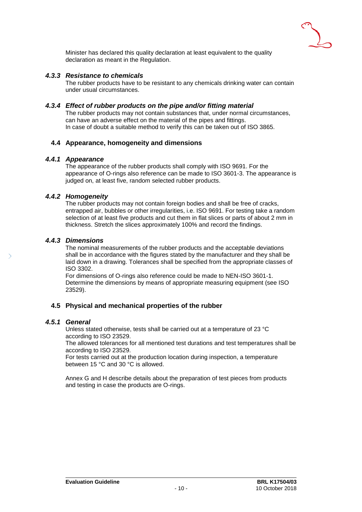

<span id="page-10-0"></span>Minister has declared this quality declaration at least equivalent to the quality declaration as meant in the Regulation.

### *4.3.3 Resistance to chemicals*

<span id="page-10-1"></span>The rubber products have to be resistant to any chemicals drinking water can contain under usual circumstances.

### *4.3.4 Effect of rubber products on the pipe and/or fitting material*

The rubber products may not contain substances that, under normal circumstances, can have an adverse effect on the material of the pipes and fittings. In case of doubt a suitable method to verify this can be taken out of ISO 3865.

### <span id="page-10-3"></span><span id="page-10-2"></span>**4.4 Appearance, homogeneity and dimensions**

### *4.4.1 Appearance*

The appearance of the rubber products shall comply with ISO 9691. For the appearance of O-rings also reference can be made to ISO 3601-3. The appearance is judged on, at least five, random selected rubber products.

### *4.4.2 Homogeneity*

<span id="page-10-4"></span>The rubber products may not contain foreign bodies and shall be free of cracks, entrapped air, bubbles or other irregularities, i.e. ISO 9691. For testing take a random selection of at least five products and cut them in flat slices or parts of about 2 mm in thickness. Stretch the slices approximately 100% and record the findings.

### *4.4.3 Dimensions*

<span id="page-10-5"></span>The nominal measurements of the rubber products and the acceptable deviations shall be in accordance with the figures stated by the manufacturer and they shall be laid down in a drawing. Tolerances shall be specified from the appropriate classes of ISO 3302.

For dimensions of O-rings also reference could be made to NEN-ISO 3601-1. Determine the dimensions by means of appropriate measuring equipment (see ISO 23529).

### <span id="page-10-7"></span><span id="page-10-6"></span>**4.5 Physical and mechanical properties of the rubber**

### *4.5.1 General*

Unless stated otherwise, tests shall be carried out at a temperature of 23 °C according to ISO 23529.

The allowed tolerances for all mentioned test durations and test temperatures shall be according to ISO 23529.

For tests carried out at the production location during inspection, a temperature between 15 °C and 30 °C is allowed.

Annex G and H describe details about the preparation of test pieces from products and testing in case the products are O-rings.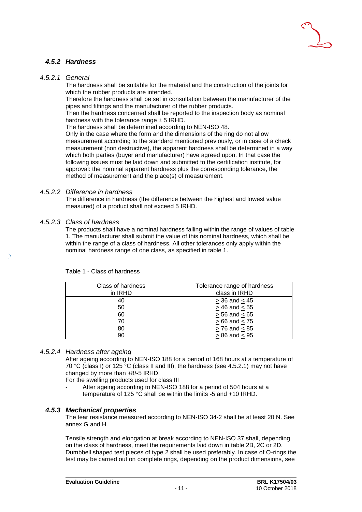

### <span id="page-11-0"></span>*4.5.2 Hardness*

### *4.5.2.1 General*

The hardness shall be suitable for the material and the construction of the joints for which the rubber products are intended.

Therefore the hardness shall be set in consultation between the manufacturer of the pipes and fittings and the manufacturer of the rubber products.

Then the hardness concerned shall be reported to the inspection body as nominal hardness with the tolerance range  $\pm$  5 IRHD.

The hardness shall be determined according to NEN-ISO 48.

Only in the case where the form and the dimensions of the ring do not allow measurement according to the standard mentioned previously, or in case of a check measurement (non destructive), the apparent hardness shall be determined in a way which both parties (buyer and manufacturer) have agreed upon. In that case the following issues must be laid down and submitted to the certification institute, for approval: the nominal apparent hardness plus the corresponding tolerance, the method of measurement and the place(s) of measurement.

### *4.5.2.2 Difference in hardness*

The difference in hardness (the difference between the highest and lowest value measured) of a product shall not exceed 5 IRHD.

### *4.5.2.3 Class of hardness*

The products shall have a nominal hardness falling within the range of values of table 1. The manufacturer shall submit the value of this nominal hardness, which shall be within the range of a class of hardness. All other tolerances only apply within the nominal hardness range of one class, as specified in table 1.

| Class of hardness<br>in IRHD | Tolerance range of hardness<br>class in IRHD |
|------------------------------|----------------------------------------------|
| 40                           | $> 36$ and $< 45$                            |
| 50                           | $> 46$ and $< 55$                            |
| 60                           | $> 56$ and $< 65$                            |
| 70                           | $>66$ and $< 75$                             |
| 80                           | $> 76$ and $< 85$                            |
| 90                           | $> 86$ and $< 95$                            |

Table 1 - Class of hardness

### *4.5.2.4 Hardness after ageing*

After ageing according to NEN-ISO 188 for a period of 168 hours at a temperature of 70 °C (class I) or 125 °C (class II and III), the hardness (see 4.5.2.1) may not have changed by more than +8/-5 IRHD.

For the swelling products used for class III

<span id="page-11-1"></span>After ageing according to NEN-ISO 188 for a period of 504 hours at a temperature of 125 °C shall be within the limits -5 and +10 IRHD.

### *4.5.3 Mechanical properties*

The tear resistance measured according to NEN-ISO 34-2 shall be at least 20 N. See annex G and H.

Tensile strength and elongation at break according to NEN-ISO 37 shall, depending on the class of hardness, meet the requirements laid down in table 2B, 2C or 2D. Dumbbell shaped test pieces of type 2 shall be used preferably. In case of O-rings the test may be carried out on complete rings, depending on the product dimensions, see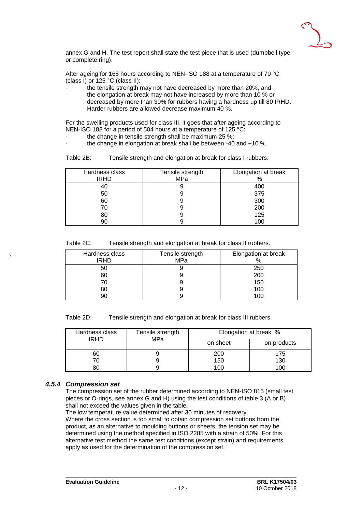

annex G and H. The test report shall state the test piece that is used (dumbbell type or complete ring).

After ageing for 168 hours according to NEN-ISO 188 at a temperature of 70 °C (class I) or 125 °C (class II):

- the tensile strength may not have decreased by more than 20%, and
- the elongation at break may not have increased by more than 10 % or decreased by more than 30% for rubbers having a hardness up till 80 IRHD. Harder rubbers are allowed decrease maximum 40 %.

For the swelling products used for class III, it goes that after ageing according to NEN-ISO 188 for a period of 504 hours at a temperature of 125 °C:

- the change in tensile strength shall be maximum 25 %;
- the change in elongation at break shall be between  $-40$  and  $+10$ %.

| Table 2B: | Tensile strength and elongation at break for class I rubbers. |
|-----------|---------------------------------------------------------------|
|           |                                                               |

| Hardness class<br><b>IRHD</b> | Tensile strength<br>MPa | Elongation at break<br>% |
|-------------------------------|-------------------------|--------------------------|
| 40                            |                         | 400                      |
| 50                            |                         | 375                      |
| 60                            |                         | 300                      |
| 70                            |                         | 200                      |
| 80                            |                         | 125                      |
| 90                            |                         | 100                      |

|  | Table 2C: | Tensile strength and elongation at break for class II rubbers. |
|--|-----------|----------------------------------------------------------------|
|--|-----------|----------------------------------------------------------------|

| Hardness class<br><b>IRHD</b> | Tensile strength<br>MPa | Elongation at break<br>% |
|-------------------------------|-------------------------|--------------------------|
| 50                            |                         | 250                      |
| 60                            |                         | 200                      |
| 70                            |                         | 150                      |
| 80                            |                         | 100                      |
| 90                            |                         | 100                      |

Table 2D: Tensile strength and elongation at break for class III rubbers.

| Hardness class | Tensile strength | Elongation at break % |             |
|----------------|------------------|-----------------------|-------------|
| <b>IRHD</b>    | MPa              | on sheet              | on products |
| 60             |                  | 200                   | 175         |
|                |                  | 150                   | 130         |
|                |                  | 100                   | 100         |

### *4.5.4 Compression set*

<span id="page-12-0"></span>The compression set of the rubber determined according to NEN-ISO 815 (small test pieces or O-rings, see annex G and H) using the test conditions of table 3 (A or B) shall not exceed the values given in the table.

The low temperature value determined after 30 minutes of recovery.

Where the cross section is too small to obtain compression set buttons from the product, as an alternative to moulding buttons or sheets, the tension set may be determined using the method specified in ISO 2285 with a strain of 50%. For this alternative test method the same test conditions (except strain) and requirements apply as used for the determination of the compression set.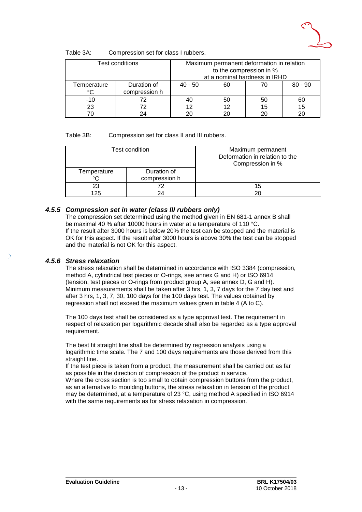

| Table 3A: | Compression set for class I rubbers. |  |
|-----------|--------------------------------------|--|
|-----------|--------------------------------------|--|

|             | Test conditions              |           | to the compression in % | Maximum permanent deformation in relation<br>at a nominal hardness in IRHD |           |
|-------------|------------------------------|-----------|-------------------------|----------------------------------------------------------------------------|-----------|
| Temperature | Duration of<br>compression h | $40 - 50$ | 60                      | 70                                                                         | $80 - 90$ |
| $-10$       | 72                           | 40        | 50                      | 50                                                                         | 60        |
| 23          | 72                           | 12        | 12                      | 15                                                                         | 15        |
|             | 24                           | 20        |                         | 20                                                                         |           |

### Table 3B: Compression set for class II and III rubbers.

|                            | Test condition               | Maximum permanent<br>Deformation in relation to the<br>Compression in % |
|----------------------------|------------------------------|-------------------------------------------------------------------------|
| Temperature<br>$^{\circ}C$ | Duration of<br>compression h |                                                                         |
| 23<br>125                  | 72<br>24                     | 15<br>20                                                                |

### *4.5.5 Compression set in water (class III rubbers only)*

<span id="page-13-0"></span>The compression set determined using the method given in EN 681-1 annex B shall be maximal 40 % after 10000 hours in water at a temperature of 110 °C. If the result after 3000 hours is below 20% the test can be stopped and the material is OK for this aspect. If the result after 3000 hours is above 30% the test can be stopped and the material is not OK for this aspect.

### *4.5.6 Stress relaxation*

<span id="page-13-1"></span>The stress relaxation shall be determined in accordance with ISO 3384 (compression, method A, cylindrical test pieces or O-rings, see annex G and H) or ISO 6914 (tension, test pieces or O-rings from product group A, see annex D, G and H). Minimum measurements shall be taken after 3 hrs, 1, 3, 7 days for the 7 day test and after 3 hrs, 1, 3, 7, 30, 100 days for the 100 days test. The values obtained by regression shall not exceed the maximum values given in table 4 (A to C).

The 100 days test shall be considered as a type approval test. The requirement in respect of relaxation per logarithmic decade shall also be regarded as a type approval requirement.

The best fit straight line shall be determined by regression analysis using a logarithmic time scale. The 7 and 100 days requirements are those derived from this straight line.

If the test piece is taken from a product, the measurement shall be carried out as far as possible in the direction of compression of the product in service.

Where the cross section is too small to obtain compression buttons from the product, as an alternative to moulding buttons, the stress relaxation in tension of the product may be determined, at a temperature of 23 °C, using method A specified in ISO 6914 with the same requirements as for stress relaxation in compression.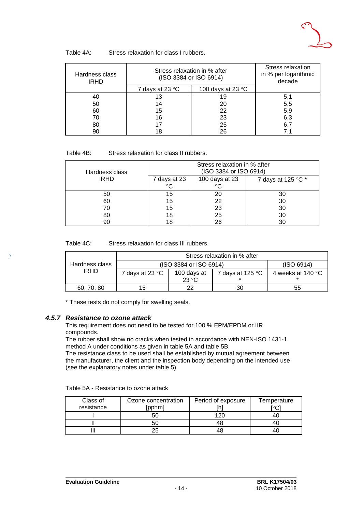

| Hardness class<br><b>IRHD</b> | Stress relaxation in % after<br>(ISO 3384 or ISO 6914) |                            | Stress relaxation<br>in % per logarithmic<br>decade |
|-------------------------------|--------------------------------------------------------|----------------------------|-----------------------------------------------------|
|                               | 7 days at 23 °C                                        | 100 days at 23 $\degree$ C |                                                     |
| 40                            | 13                                                     | 19                         | 5,1                                                 |
| 50                            | 14                                                     | 20                         | 5,5                                                 |
| 60                            | 15                                                     | 22                         | 5,9                                                 |
| 70                            | 16                                                     | 23                         | 6,3                                                 |
| 80                            |                                                        | 25                         | 6.                                                  |
| 90                            | 18                                                     | 26                         |                                                     |

| Stress relaxation for class II rubbers. | Table 4B: |  |  |  |  |  |  |
|-----------------------------------------|-----------|--|--|--|--|--|--|
|-----------------------------------------|-----------|--|--|--|--|--|--|

| Hardness class |              | Stress relaxation in % after<br>(ISO 3384 or ISO 6914) |                    |
|----------------|--------------|--------------------------------------------------------|--------------------|
| <b>IRHD</b>    | 7 days at 23 | 100 days at 23                                         | 7 days at 125 °C * |
|                | °C           | ∘∩                                                     |                    |
| 50             | 15           | 20                                                     | 30                 |
| 60             | 15           | 22                                                     | 30                 |
| 70             | 15           | 23                                                     | 30                 |
| 80             | 18           | 25                                                     | 30                 |
| 90             | 18           | 26                                                     | 30                 |

Table 4C: Stress relaxation for class III rubbers.

|                | Stress relaxation in % after |                        |                           |                             |
|----------------|------------------------------|------------------------|---------------------------|-----------------------------|
| Hardness class |                              | (ISO 3384 or ISO 6914) |                           | (ISO 6914)                  |
| <b>IRHD</b>    | 7 days at 23 °C              | 100 days at            | 7 days at 125 $\degree$ C | 4 weeks at 140 $^{\circ}$ C |
|                |                              | 23 °C                  |                           |                             |
| 60, 70, 80     | 15                           | ົດ                     | 30                        | 55                          |

<span id="page-14-0"></span>\* These tests do not comply for swelling seals.

### *4.5.7 Resistance to ozone attack*

This requirement does not need to be tested for 100 % EPM/EPDM or IIR compounds.

The rubber shall show no cracks when tested in accordance with NEN-ISO 1431-1 method A under conditions as given in table 5A and table 5B.

The resistance class to be used shall be established by mutual agreement between the manufacturer, the client and the inspection body depending on the intended use (see the explanatory notes under table 5).

| Table 5A - Resistance to ozone attack |  |
|---------------------------------------|--|
|---------------------------------------|--|

| Class of<br>resistance | Ozone concentration<br>[pphm] | Period of exposure | Temperature<br>$\mathrm{C}$ |
|------------------------|-------------------------------|--------------------|-----------------------------|
|                        | 50                            | 120                |                             |
|                        | 50                            | 48                 |                             |
|                        | 25                            | 48                 |                             |

 $\mathcal{P}$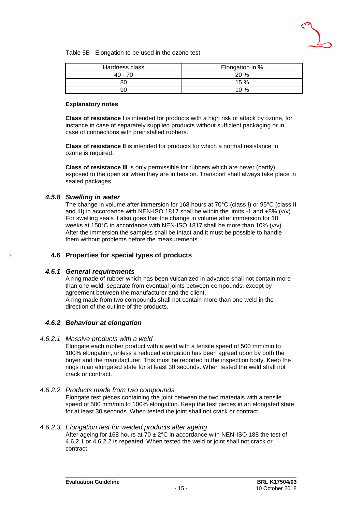

Table 5B - Elongation to be used in the ozone test

| Hardness class | Elongation in % |
|----------------|-----------------|
| $40 - 70$      | 20 %            |
| 8C             | 15 %            |
| 90             | 10%             |

### **Explanatory notes**

**Class of resistance I** is intended for products with a high risk of attack by ozone, for instance in case of separately supplied products without sufficient packaging or in case of connections with preinstalled rubbers.

**Class of resistance II** is intended for products for which a normal resistance to ozone is required.

**Class of resistance III** is only permissible for rubbers which are never (partly) exposed to the open air when they are in tension. Transport shall always take place in sealed packages.

### *4.5.8 Swelling in water*

<span id="page-15-0"></span>The change in volume after immersion for 168 hours at 70°C (class I) or 95°C (class II and III) in accordance with NEN-ISO 1817 shall be within the limits  $-1$  and  $+8\%$  (v/v). For swelling seals it also goes that the change in volume after immersion for 10 weeks at 150°C in accordance with NEN-ISO 1817 shall be more than 10% (v/v). After the immersion the samples shall be intact and it must be possible to handle them without problems before the measurements.

### <span id="page-15-2"></span><span id="page-15-1"></span>**4.6 Properties for special types of products**

#### *4.6.1 General requirements*

A ring made of rubber which has been vulcanized in advance shall not contain more than one weld, separate from eventual joints between compounds, except by agreement between the manufacturer and the client. A ring made from two compounds shall not contain more than one weld in the direction of the outline of the products.

### <span id="page-15-3"></span>*4.6.2 Behaviour at elongation*

#### *4.6.2.1 Massive products with a weld*

Elongate each rubber product with a weld with a tensile speed of 500 mm/min to 100% elongation, unless a reduced elongation has been agreed upon by both the buyer and the manufacturer. This must be reported to the inspection body. Keep the rings in an elongated state for at least 30 seconds. When tested the weld shall not crack or contract.

#### *4.6.2.2 Products made from two compounds*

Elongate test pieces containing the joint between the two materials with a tensile speed of 500 mm/min to 100% elongation. Keep the test pieces in an elongated state for at least 30 seconds. When tested the joint shall not crack or contract.

#### *4.6.2.3 Elongation test for welded products after ageing*

After ageing for 168 hours at  $70 \pm 2^{\circ}$ C in accordance with NEN-ISO 188 the test of 4.6.2.1 or 4.6.2.2 is repeated. When tested the weld or joint shall not crack or contract.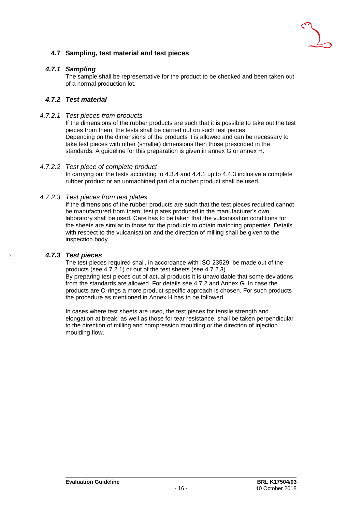### <span id="page-16-1"></span><span id="page-16-0"></span>**4.7 Sampling, test material and test pieces**

### *4.7.1 Sampling*

<span id="page-16-2"></span>The sample shall be representative for the product to be checked and been taken out of a normal production lot.

### *4.7.2 Test material*

### *4.7.2.1 Test pieces from products*

If the dimensions of the rubber products are such that it is possible to take out the test pieces from them, the tests shall be carried out on such test pieces. Depending on the dimensions of the products it is allowed and can be necessary to take test pieces with other (smaller) dimensions then those prescribed in the standards. A guideline for this preparation is given in annex G or annex H.

### *4.7.2.2 Test piece of complete product*

In carrying out the tests according to 4.3.4 and 4.4.1 up to 4.4.3 inclusive a complete rubber product or an unmachined part of a rubber product shall be used.

### *4.7.2.3 Test pieces from test plates*

If the dimensions of the rubber products are such that the test pieces required cannot be manufactured from them, test plates produced in the manufacturer's own laboratory shall be used. Care has to be taken that the vulcanisation conditions for the sheets are similar to those for the products to obtain matching properties. Details with respect to the vulcanisation and the direction of milling shall be given to the inspection body.

### *4.7.3 Test pieces*

<span id="page-16-3"></span>The test pieces required shall, in accordance with ISO 23529, be made out of the products (see 4.7.2.1) or out of the test sheets (see 4.7.2.3).

By preparing test pieces out of actual products it is unavoidable that some deviations from the standards are allowed. For details see 4.7.2 and Annex G. In case the products are O-rings a more product specific approach is chosen. For such products the procedure as mentioned in Annex H has to be followed.

In cases where test sheets are used, the test pieces for tensile strength and elongation at break, as well as those for tear resistance, shall be taken perpendicular to the direction of milling and compression moulding or the direction of injection moulding flow.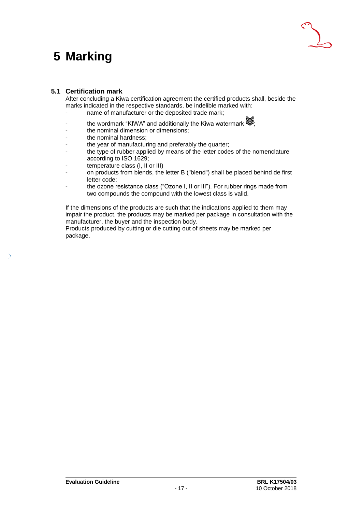### <span id="page-17-0"></span>**5 Marking**



### <span id="page-17-1"></span>**5.1 Certification mark**

After concluding a Kiwa certification agreement the certified products shall, beside the marks indicated in the respective standards, be indelible marked with:

- name of manufacturer or the deposited trade mark;
- the wordmark "KIWA" and additionally the Kiwa watermark  $\mathcal{F}_1$
- the nominal dimension or dimensions;
- the nominal hardness;
- the year of manufacturing and preferably the quarter;
- the type of rubber applied by means of the letter codes of the nomenclature according to ISO 1629;
- temperature class (I, II or III)
- on products from blends, the letter B ("blend") shall be placed behind de first letter code;
- the ozone resistance class ("Ozone I, II or III"). For rubber rings made from two compounds the compound with the lowest class is valid.

If the dimensions of the products are such that the indications applied to them may impair the product, the products may be marked per package in consultation with the manufacturer, the buyer and the inspection body.

Products produced by cutting or die cutting out of sheets may be marked per package.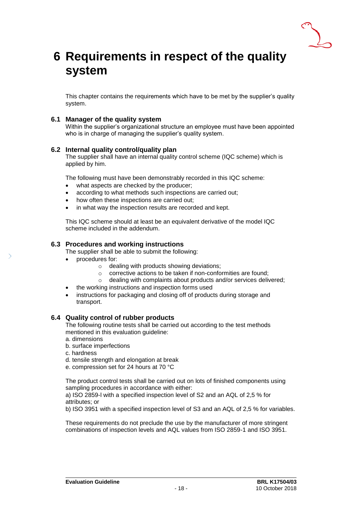

### <span id="page-18-0"></span>**6 Requirements in respect of the quality system**

<span id="page-18-1"></span>This chapter contains the requirements which have to be met by the supplier's quality system.

### **6.1 Manager of the quality system**

<span id="page-18-2"></span>Within the supplier's organizational structure an employee must have been appointed who is in charge of managing the supplier's quality system.

### **6.2 Internal quality control/quality plan**

The supplier shall have an internal quality control scheme (IQC scheme) which is applied by him.

The following must have been demonstrably recorded in this IQC scheme:

- what aspects are checked by the producer;
- according to what methods such inspections are carried out;
- how often these inspections are carried out;
- in what way the inspection results are recorded and kept.

<span id="page-18-3"></span>This IQC scheme should at least be an equivalent derivative of the model IQC scheme included in the addendum.

### **6.3 Procedures and working instructions**

The supplier shall be able to submit the following:

- procedures for:
	- o dealing with products showing deviations;
	- o corrective actions to be taken if non-conformities are found;
	- o dealing with complaints about products and/or services delivered;
	- the working instructions and inspection forms used
- <span id="page-18-4"></span>instructions for packaging and closing off of products during storage and transport.

### **6.4 Quality control of rubber products**

The following routine tests shall be carried out according to the test methods mentioned in this evaluation guideline:

- a. dimensions
- b. surface imperfections
- c. hardness
- d. tensile strength and elongation at break
- e. compression set for 24 hours at 70 °C

The product control tests shall be carried out on lots of finished components using sampling procedures in accordance with either:

a) ISO 2859-l with a specified inspection level of S2 and an AQL of 2,5 % for attributes; or

b) ISO 3951 with a specified inspection level of S3 and an AQL of 2,5 % for variables.

These requirements do not preclude the use by the manufacturer of more stringent combinations of inspection levels and AQL values from ISO 2859-1 and ISO 3951.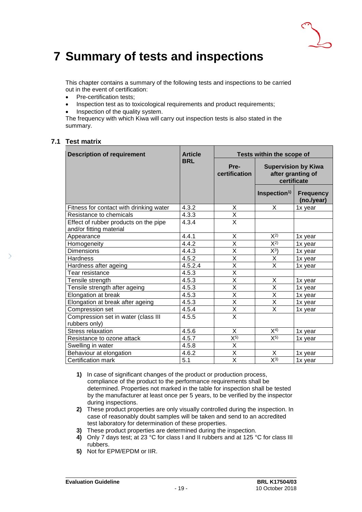

### <span id="page-19-0"></span>**7 Summary of tests and inspections**

This chapter contains a summary of the following tests and inspections to be carried out in the event of certification:

- Pre-certification tests;
- Inspection test as to toxicological requirements and product requirements;
- Inspection of the quality system.

<span id="page-19-1"></span>The frequency with which Kiwa will carry out inspection tests is also stated in the summary.

### **7.1 Test matrix**

| <b>Description of requirement</b>                                | <b>Article</b> |                         | Tests within the scope of                                      |                                |
|------------------------------------------------------------------|----------------|-------------------------|----------------------------------------------------------------|--------------------------------|
|                                                                  | <b>BRL</b>     | Pre-<br>certification   | <b>Supervision by Kiwa</b><br>after granting of<br>certificate |                                |
|                                                                  |                |                         | Inspection <sup>1</sup>                                        | <b>Frequency</b><br>(no./year) |
| Fitness for contact with drinking water                          | 4.3.2          | X                       | X                                                              | 1x year                        |
| Resistance to chemicals                                          | 4.3.3          | X                       |                                                                |                                |
| Effect of rubber products on the pipe<br>and/or fitting material | 4.3.4          | $\overline{\mathsf{x}}$ |                                                                |                                |
| Appearance                                                       | 4.4.1          | X                       | $X^{2)}$                                                       | 1x year                        |
| Homogeneity                                                      | 4.4.2          | X                       | $X^{2)}$                                                       | 1x year                        |
| <b>Dimensions</b>                                                | 4.4.3          | X                       | $X^3$                                                          | 1x year                        |
| Hardness                                                         | 4.5.2          | X                       | X                                                              | 1x year                        |
| Hardness after ageing                                            | 4.5.2.4        | $\overline{\mathsf{x}}$ | X                                                              | 1x year                        |
| Tear resistance                                                  | 4.5.3          | $\overline{\mathsf{x}}$ |                                                                |                                |
| Tensile strength                                                 | 4.5.3          | $\overline{\mathsf{x}}$ | X                                                              | 1x year                        |
| Tensile strength after ageing                                    | 4.5.3          | $\overline{\mathsf{x}}$ | $\overline{X}$                                                 | 1x year                        |
| Elongation at break                                              | 4.5.3          | $\overline{\mathsf{x}}$ | X                                                              | 1x year                        |
| Elongation at break after ageing                                 | 4.5.3          | $\overline{\mathsf{x}}$ | $\overline{X}$                                                 | 1x year                        |
| Compression set                                                  | 4.5.4          | X                       | X                                                              | 1x year                        |
| Compression set in water (class III<br>rubbers only)             | 4.5.5          | $\overline{\mathsf{x}}$ |                                                                |                                |
| Stress relaxation                                                | 4.5.6          | X                       | $X^{4)}$                                                       | 1x year                        |
| Resistance to ozone attack                                       | 4.5.7          | $\overline{X^{5}}$      | $X^{5}$                                                        | 1x year                        |
| Swelling in water                                                | 4.5.8          | X                       |                                                                |                                |
| Behaviour at elongation                                          | 4.6.2          | $\overline{\mathsf{x}}$ | X                                                              | 1x year                        |
| Certification mark                                               | 5.1            | X                       | $X^{3}$                                                        | 1x year                        |

- **1)** In case of significant changes of the product or production process, compliance of the product to the performance requirements shall be determined. Properties not marked in the table for inspection shall be tested by the manufacturer at least once per 5 years, to be verified by the inspector during inspections.
- **2)** These product properties are only visually controlled during the inspection. In case of reasonably doubt samples will be taken and send to an accredited test laboratory for determination of these properties.
- **3)** These product properties are determined during the inspection.
- **4)** Only 7 days test; at 23 °C for class I and II rubbers and at 125 °C for class III rubbers.
- **5)** Not for EPM/EPDM or IIR.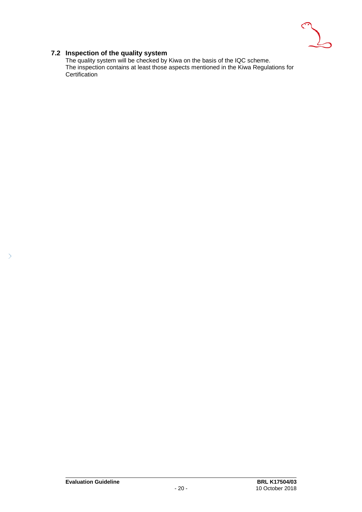

### **7.2 Inspection of the quality system**

<span id="page-20-0"></span>The quality system will be checked by Kiwa on the basis of the IQC scheme. The inspection contains at least those aspects mentioned in the Kiwa Regulations for Certification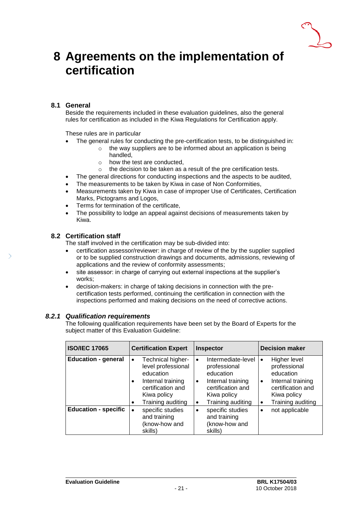

### <span id="page-21-0"></span>**8 Agreements on the implementation of certification**

### **8.1 General**

<span id="page-21-1"></span>Beside the requirements included in these evaluation guidelines, also the general rules for certification as included in the Kiwa Regulations for Certification apply.

These rules are in particular

- The general rules for conducting the pre-certification tests, to be distinguished in:
	- o the way suppliers are to be informed about an application is being handled,
	- o how the test are conducted,
	- o the decision to be taken as a result of the pre certification tests.
- The general directions for conducting inspections and the aspects to be audited,
- The measurements to be taken by Kiwa in case of Non Conformities,
- Measurements taken by Kiwa in case of improper Use of Certificates, Certification Marks, Pictograms and Logos,
- Terms for termination of the certificate,
- <span id="page-21-2"></span>• The possibility to lodge an appeal against decisions of measurements taken by Kiwa.

### **8.2 Certification staff**

The staff involved in the certification may be sub-divided into:

- certification assessor/reviewer: in charge of review of the by the supplier supplied or to be supplied construction drawings and documents, admissions, reviewing of applications and the review of conformity assessments;
- site assessor: in charge of carrying out external inspections at the supplier's works;
- decision-makers: in charge of taking decisions in connection with the precertification tests performed, continuing the certification in connection with the inspections performed and making decisions on the need of corrective actions.

### *8.2.1 Qualification requirements*

<span id="page-21-3"></span>The following qualification requirements have been set by the Board of Experts for the subject matter of this Evaluation Guideline:

| <b>ISO/IEC 17065</b>        | <b>Certification Expert</b>                                                                                                                                  | Inspector                                                                                                                                                    | <b>Decision maker</b>                                                                                                                                  |
|-----------------------------|--------------------------------------------------------------------------------------------------------------------------------------------------------------|--------------------------------------------------------------------------------------------------------------------------------------------------------------|--------------------------------------------------------------------------------------------------------------------------------------------------------|
| <b>Education - general</b>  | Technical higher-<br>$\bullet$<br>level professional<br>education<br>Internal training<br>$\bullet$<br>certification and<br>Kiwa policy<br>Training auditing | Intermediate-level<br>$\bullet$<br>professional<br>education<br>Internal training<br>٠<br>certification and<br>Kiwa policy<br>Training auditing<br>$\bullet$ | Higher level<br>$\bullet$<br>professional<br>education<br>Internal training<br>$\bullet$<br>certification and<br>Kiwa policy<br>Training auditing<br>٠ |
| <b>Education - specific</b> | specific studies<br>and training<br>(know-how and<br>skills)                                                                                                 | specific studies<br>$\bullet$<br>and training<br>(know-how and<br>skills)                                                                                    | not applicable<br>$\bullet$                                                                                                                            |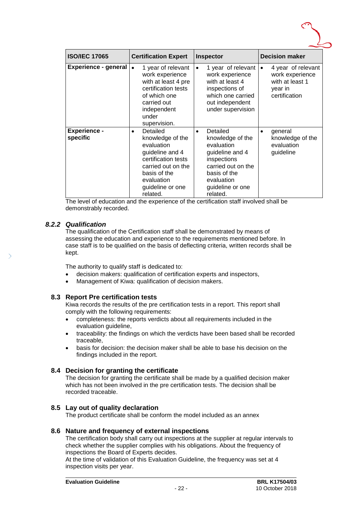

| <b>ISO/IEC 17065</b>            | <b>Certification Expert</b>                                                                                                                                                           | Inspector                                                                                                                                                                     | <b>Decision maker</b>                                                                             |
|---------------------------------|---------------------------------------------------------------------------------------------------------------------------------------------------------------------------------------|-------------------------------------------------------------------------------------------------------------------------------------------------------------------------------|---------------------------------------------------------------------------------------------------|
| <b>Experience - general</b>     | 1 year of relevant<br>$\bullet$<br>work experience<br>with at least 4 pre<br>certification tests<br>of which one<br>carried out<br>independent<br>under<br>supervision.               | 1 year of relevant<br>$\bullet$<br>work experience<br>with at least 4<br>inspections of<br>which one carried<br>out independent<br>under supervision                          | 4 year of relevant<br>$\bullet$<br>work experience<br>with at least 1<br>year in<br>certification |
| <b>Experience -</b><br>specific | Detailed<br>$\bullet$<br>knowledge of the<br>evaluation<br>guideline and 4<br>certification tests<br>carried out on the<br>basis of the<br>evaluation<br>guideline or one<br>related. | Detailed<br>$\bullet$<br>knowledge of the<br>evaluation<br>guideline and 4<br>inspections<br>carried out on the<br>basis of the<br>evaluation<br>guideline or one<br>related. | general<br>$\bullet$<br>knowledge of the<br>evaluation<br>guideline                               |

<span id="page-22-0"></span>The level of education and the experience of the certification staff involved shall be demonstrably recorded.

### *8.2.2 Qualification*

The qualification of the Certification staff shall be demonstrated by means of assessing the education and experience to the requirements mentioned before. In case staff is to be qualified on the basis of deflecting criteria, written records shall be kept.

The authority to qualify staff is dedicated to:

- decision makers: qualification of certification experts and inspectors,
- <span id="page-22-1"></span>Management of Kiwa: qualification of decision makers.

### **8.3 Report Pre certification tests**

Kiwa records the results of the pre certification tests in a report. This report shall comply with the following requirements:

- completeness: the reports verdicts about all requirements included in the evaluation guideline,
- traceability: the findings on which the verdicts have been based shall be recorded traceable,
- <span id="page-22-2"></span>• basis for decision: the decision maker shall be able to base his decision on the findings included in the report.

### **8.4 Decision for granting the certificate**

The decision for granting the certificate shall be made by a qualified decision maker which has not been involved in the pre certification tests. The decision shall be recorded traceable.

### <span id="page-22-3"></span>**8.5 Lay out of quality declaration**

<span id="page-22-4"></span>The product certificate shall be conform the model included as an annex

### **8.6 Nature and frequency of external inspections**

The certification body shall carry out inspections at the supplier at regular intervals to check whether the supplier complies with his obligations. About the frequency of inspections the Board of Experts decides.

At the time of validation of this Evaluation Guideline, the frequency was set at 4 inspection visits per year.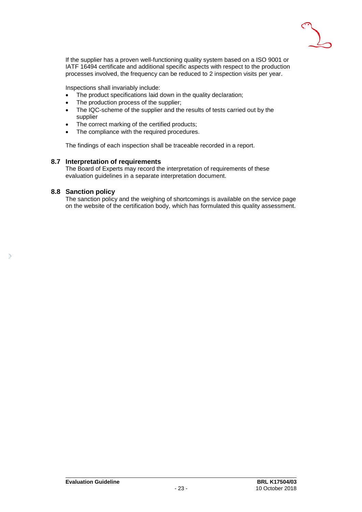

If the supplier has a proven well-functioning quality system based on a ISO 9001 or IATF 16494 certificate and additional specific aspects with respect to the production processes involved, the frequency can be reduced to 2 inspection visits per year.

Inspections shall invariably include:

- The product specifications laid down in the quality declaration;
- The production process of the supplier;
- The IQC-scheme of the supplier and the results of tests carried out by the supplier
- The correct marking of the certified products:
- The compliance with the required procedures.

<span id="page-23-0"></span>The findings of each inspection shall be traceable recorded in a report.

### **8.7 Interpretation of requirements**

<span id="page-23-1"></span>The Board of Experts may record the interpretation of requirements of these evaluation guidelines in a separate interpretation document.

### **8.8 Sanction policy**

The sanction policy and the weighing of shortcomings is available on the service page on the website of the certification body, which has formulated this quality assessment.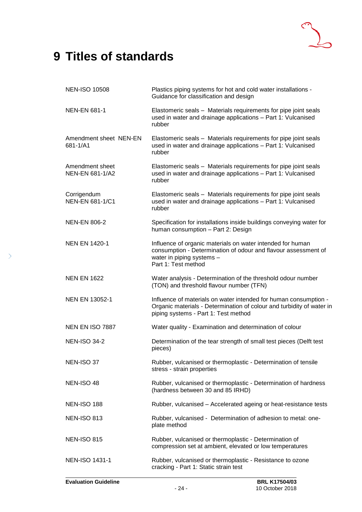### <span id="page-24-0"></span>**9 Titles of standards**

| <b>NEN-ISO 10508</b>                      | Plastics piping systems for hot and cold water installations -<br>Guidance for classification and design                                                                          |
|-------------------------------------------|-----------------------------------------------------------------------------------------------------------------------------------------------------------------------------------|
| <b>NEN-EN 681-1</b>                       | Elastomeric seals - Materials requirements for pipe joint seals<br>used in water and drainage applications - Part 1: Vulcanised<br>rubber                                         |
| Amendment sheet NEN-EN<br>681-1/A1        | Elastomeric seals - Materials requirements for pipe joint seals<br>used in water and drainage applications - Part 1: Vulcanised<br>rubber                                         |
| Amendment sheet<br><b>NEN-EN 681-1/A2</b> | Elastomeric seals - Materials requirements for pipe joint seals<br>used in water and drainage applications - Part 1: Vulcanised<br>rubber                                         |
| Corrigendum<br>NEN-EN 681-1/C1            | Elastomeric seals - Materials requirements for pipe joint seals<br>used in water and drainage applications - Part 1: Vulcanised<br>rubber                                         |
| <b>NEN-EN 806-2</b>                       | Specification for installations inside buildings conveying water for<br>human consumption - Part 2: Design                                                                        |
| <b>NEN EN 1420-1</b>                      | Influence of organic materials on water intended for human<br>consumption - Determination of odour and flavour assessment of<br>water in piping systems -<br>Part 1: Test method  |
| <b>NEN EN 1622</b>                        | Water analysis - Determination of the threshold odour number<br>(TON) and threshold flavour number (TFN)                                                                          |
| <b>NEN EN 13052-1</b>                     | Influence of materials on water intended for human consumption -<br>Organic materials - Determination of colour and turbidity of water in<br>piping systems - Part 1: Test method |
| NEN EN ISO 7887                           | Water quality - Examination and determination of colour                                                                                                                           |
| <b>NEN-ISO 34-2</b>                       | Determination of the tear strength of small test pieces (Delft test<br>pieces)                                                                                                    |
| NEN-ISO 37                                | Rubber, vulcanised or thermoplastic - Determination of tensile<br>stress - strain properties                                                                                      |
| NEN-ISO 48                                | Rubber, vulcanised or thermoplastic - Determination of hardness<br>(hardness between 30 and 85 IRHD)                                                                              |
| <b>NEN-ISO 188</b>                        | Rubber, vulcanised - Accelerated ageing or heat-resistance tests                                                                                                                  |
| <b>NEN-ISO 813</b>                        | Rubber, vulcanised - Determination of adhesion to metal: one-<br>plate method                                                                                                     |
| <b>NEN-ISO 815</b>                        | Rubber, vulcanised or thermoplastic - Determination of<br>compression set at ambient, elevated or low temperatures                                                                |
| NEN-ISO 1431-1                            | Rubber, vulcanised or thermoplastic - Resistance to ozone<br>cracking - Part 1: Static strain test                                                                                |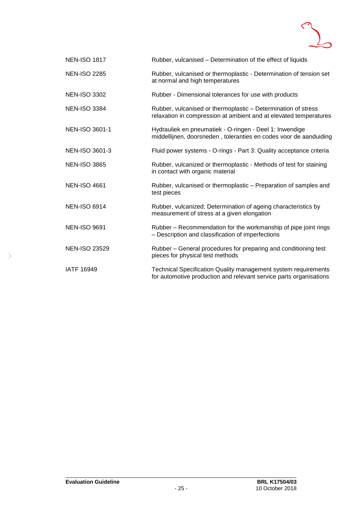

| <b>NEN-ISO 1817</b>   | Rubber, vulcanised - Determination of the effect of liquids                                                                          |
|-----------------------|--------------------------------------------------------------------------------------------------------------------------------------|
| <b>NEN-ISO 2285</b>   | Rubber, vulcanised or thermoplastic - Determination of tension set<br>at normal and high temperatures                                |
| <b>NEN-ISO 3302</b>   | Rubber - Dimensional tolerances for use with products                                                                                |
| <b>NEN-ISO 3384</b>   | Rubber, vulcanised or thermoplastic - Determination of stress<br>relaxation in compression at ambient and at elevated temperatures   |
| NEN-ISO 3601-1        | Hydrauliek en pneumatiek - O-ringen - Deel 1: Inwendige<br>middellijnen, doorsneden, toleranties en codes voor de aanduiding         |
| <b>NEN-ISO 3601-3</b> | Fluid power systems - O-rings - Part 3: Quality acceptance criteria                                                                  |
| <b>NEN-ISO 3865</b>   | Rubber, vulcanized or thermoplastic - Methods of test for staining<br>in contact with organic material                               |
| <b>NEN-ISO 4661</b>   | Rubber, vulcanised or thermoplastic - Preparation of samples and<br>test pieces                                                      |
| <b>NEN-ISO 6914</b>   | Rubber, vulcanized; Determination of ageing characteristics by<br>measurement of stress at a given elongation                        |
| <b>NEN-ISO 9691</b>   | Rubber – Recommendation for the workmanship of pipe joint rings<br>- Description and classification of imperfections                 |
| <b>NEN-ISO 23529</b>  | Rubber – General procedures for preparing and conditioning test<br>pieces for physical test methods                                  |
| <b>IATF 16949</b>     | Technical Specification Quality management system requirements<br>for automotive production and relevant service parts organisations |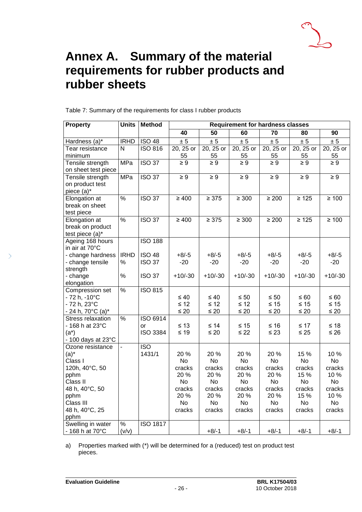

### <span id="page-26-0"></span>**Annex A. Summary of the material requirements for rubber products and rubber sheets**

Table 7: Summary of the requirements for class I rubber products

| <b>Property</b>                | <b>Units</b>  | <b>Method</b>   | <b>Requirement for hardness classes</b> |            |            |             |            |            |
|--------------------------------|---------------|-----------------|-----------------------------------------|------------|------------|-------------|------------|------------|
|                                |               |                 | 40                                      | 50         | 60         | 70          | 80         | 90         |
| Hardness (a)*                  | <b>IRHD</b>   | <b>ISO 48</b>   | ± 5                                     | ± 5        | ± 5        | ± 5         | ± 5        | ± 5        |
| Tear resistance                | N             | <b>ISO 816</b>  | 20, 25 or                               | 20, 25 or  | 20, 25 or  | $20, 25$ or | 20, 25 or  | 20, 25 or  |
| minimum                        |               |                 | 55                                      | 55         | 55         | 55          | 55         | 55         |
| Tensile strength               | MPa           | <b>ISO 37</b>   | $\geq 9$                                | $\geq 9$   | $\geq 9$   | $\geq 9$    | $\geq 9$   | $\geq 9$   |
| on sheet test piece            |               |                 |                                         |            |            |             |            |            |
| Tensile strength               | MPa           | <b>ISO 37</b>   | $\geq 9$                                | $\geq 9$   | $\geq 9$   | $\geq 9$    | $\geq 9$   | $\geq 9$   |
| on product test                |               |                 |                                         |            |            |             |            |            |
| piece (a)*                     |               |                 |                                         |            |            |             |            |            |
| Elongation at                  | $\frac{1}{2}$ | <b>ISO 37</b>   | $\geq 400$                              | $\geq 375$ | $\geq 300$ | $\geq 200$  | $\geq 125$ | $\geq 100$ |
| break on sheet                 |               |                 |                                         |            |            |             |            |            |
| test piece                     |               |                 |                                         |            |            |             |            |            |
| Elongation at                  | $\frac{9}{6}$ | <b>ISO 37</b>   | $\geq 400$                              | $\geq 375$ | $\geq 300$ | $\geq 200$  | $\geq 125$ | $\geq 100$ |
| break on product               |               |                 |                                         |            |            |             |            |            |
| test piece (a)*                |               |                 |                                         |            |            |             |            |            |
| Ageing 168 hours               |               | <b>ISO 188</b>  |                                         |            |            |             |            |            |
| in air at 70°C                 |               |                 |                                         |            |            |             |            |            |
| - change hardness              | <b>IRHD</b>   | <b>ISO 48</b>   | $+8/ -5$                                | $+8/-5$    | $+8/-5$    | $+8/-5$     | $+8/-5$    | $+8/ -5$   |
| - change tensile               | %             | <b>ISO 37</b>   | $-20$                                   | $-20$      | $-20$      | $-20$       | $-20$      | $-20$      |
| strength                       |               |                 |                                         |            |            |             |            |            |
| - change                       | $\%$          | <b>ISO 37</b>   | $+10/-30$                               | $+10/-30$  | $+10/-30$  | $+10/-30$   | $+10/-30$  | $+10/-30$  |
| elongation                     | $\frac{1}{2}$ | <b>ISO 815</b>  |                                         |            |            |             |            |            |
| Compression set                |               |                 | $\leq 40$                               | $\leq 40$  | $\leq 50$  | $\leq 50$   | $\leq 60$  | $\leq 60$  |
| - 72 h, -10°C<br>- 72 h, 23°C  |               |                 | $\leq 12$                               | $\leq 12$  | $\leq 12$  | $\leq 15$   | $\leq 15$  | $\leq 15$  |
| $-$ 24 h, 70 $^{\circ}$ C (a)* |               |                 | $\leq 20$                               | $\leq 20$  | $\leq 20$  | $\leq 20$   | $\leq 20$  | $\leq 20$  |
| Stress relaxation              | %             | <b>ISO 6914</b> |                                         |            |            |             |            |            |
| - 168 h at 23°C                |               | or              | $\leq 13$                               | ≤ 14       | $\leq 15$  | $≤ 16$      | $\leq 17$  | $\leq 18$  |
| $(a^*)$                        |               | <b>ISO 3384</b> | $\leq 19$                               | $\leq 20$  | $\leq$ 22  | $\leq 23$   | $\leq 25$  | $\leq 26$  |
| $-100$ days at 23 $\degree$ C  |               |                 |                                         |            |            |             |            |            |
| Ozone resistance               |               | <b>ISO</b>      |                                         |            |            |             |            |            |
| $(a)^*$                        |               | 1431/1          | 20 %                                    | 20 %       | 20%        | 20%         | 15 %       | 10 %       |
| Class I                        |               |                 | <b>No</b>                               | <b>No</b>  | <b>No</b>  | <b>No</b>   | <b>No</b>  | <b>No</b>  |
| 120h, 40°C, 50                 |               |                 | cracks                                  | cracks     | cracks     | cracks      | cracks     | cracks     |
| pphm                           |               |                 | 20 %                                    | 20 %       | 20 %       | 20 %        | 15 %       | 10 %       |
| Class II                       |               |                 | <b>No</b>                               | No         | No         | No          | No         | <b>No</b>  |
| 48 h, 40°C, 50                 |               |                 | cracks                                  | cracks     | cracks     | cracks      | cracks     | cracks     |
| pphm                           |               |                 | 20 %                                    | 20 %       | 20%        | 20 %        | 15 %       | 10 %       |
| Class III                      |               |                 | No                                      | No         | No         | No          | No         | <b>No</b>  |
| 48 h, 40°C, 25                 |               |                 | cracks                                  | cracks     | cracks     | cracks      | cracks     | cracks     |
| pphm                           |               |                 |                                         |            |            |             |            |            |
| Swelling in water              | $\%$          | <b>ISO 1817</b> |                                         |            |            |             |            |            |
| $-168$ h at 70 $^{\circ}$ C    | (v/v)         |                 |                                         | $+8/-1$    | $+8/-1$    | $+8/-1$     | $+8/-1$    | $+8/ -1$   |

a) Properties marked with (\*) will be determined for a (reduced) test on product test pieces.

 $\overline{\phantom{1}}$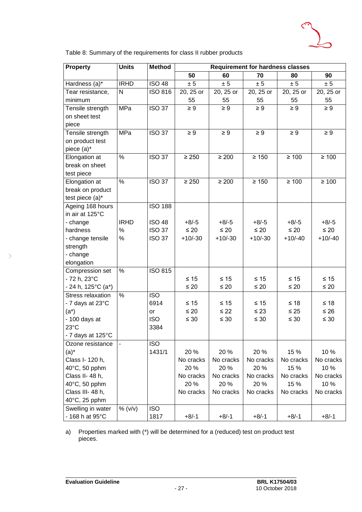

Table 8: Summary of the requirements for class II rubber products

| <b>Property</b>    | <b>Units</b>  | <b>Method</b>    | <b>Requirement for hardness classes</b> |            |            |            |            |
|--------------------|---------------|------------------|-----------------------------------------|------------|------------|------------|------------|
|                    |               |                  | 50                                      | 60         | 70         | 80         | 90         |
| Hardness (a)*      | <b>IRHD</b>   | <b>ISO 48</b>    | $\pm\,5$                                | ± 5        | ± 5        | ± 5        | ± 5        |
| Tear resistance,   | $\mathsf{N}$  | <b>ISO 816</b>   | 20, 25 or                               | 20, 25 or  | 20, 25 or  | 20, 25 or  | 20, 25 or  |
| minimum            |               |                  | 55                                      | 55         | 55         | 55         | 55         |
| Tensile strength   | MPa           | <b>ISO 37</b>    | $\geq 9$                                | $\geq 9$   | $\geq 9$   | $\geq 9$   | $\geq 9$   |
| on sheet test      |               |                  |                                         |            |            |            |            |
| piece              |               |                  |                                         |            |            |            |            |
| Tensile strength   | MPa           | <b>ISO 37</b>    | $\geq 9$                                | $\geq 9$   | $\geq 9$   | $\geq 9$   | $\geq 9$   |
| on product test    |               |                  |                                         |            |            |            |            |
| piece (a)*         |               |                  |                                         |            |            |            |            |
| Elongation at      | $\frac{1}{2}$ | <b>ISO 37</b>    | $\geq 250$                              | $\geq 200$ | $\geq 150$ | $\geq 100$ | $\geq 100$ |
| break on sheet     |               |                  |                                         |            |            |            |            |
| test piece         |               |                  |                                         |            |            |            |            |
| Elongation at      | $\frac{9}{6}$ | <b>ISO 37</b>    | $\geq 250$                              | $\geq 200$ | $\geq 150$ | $\geq 100$ | $\geq 100$ |
| break on product   |               |                  |                                         |            |            |            |            |
| test piece (a)*    |               |                  |                                         |            |            |            |            |
| Ageing 168 hours   |               | <b>ISO 188</b>   |                                         |            |            |            |            |
| in air at 125°C    |               |                  |                                         |            |            |            |            |
| - change           | <b>IRHD</b>   | <b>ISO 48</b>    | $+8/ -5$                                | $+8/-5$    | $+8/ -5$   | $+8/ -5$   | $+8/ -5$   |
| hardness           | $\%$          | <b>ISO 37</b>    | $\leq 20$                               | $\leq 20$  | $\leq 20$  | $\leq 20$  | $\leq 20$  |
| - change tensile   | $\%$          | <b>ISO 37</b>    | $+10/-30$                               | $+10/-30$  | $+10/-30$  | $+10/-40$  | $+10/-40$  |
| strength           |               |                  |                                         |            |            |            |            |
| - change           |               |                  |                                         |            |            |            |            |
| elongation         |               |                  |                                         |            |            |            |            |
| Compression set    | $\%$          | <b>ISO 815</b>   |                                         |            |            |            |            |
| - 72 h, 23°C       |               |                  | $\leq 15$                               | $\leq 15$  | $\leq 15$  | $\leq 15$  | $\leq 15$  |
| - 24 h, 125°C (a*) |               |                  | $\leq 20$                               | $\leq 20$  | $\leq 20$  | $\leq 20$  | $\leq 20$  |
| Stress relaxation  | %             | $\overline{ISO}$ |                                         |            |            |            |            |
| - 7 days at 23°C   |               | 6914             | $\leq 15$                               | $\leq 15$  | $\leq 15$  | $≤ 18$     | $≤ 18$     |
| $(a^*)$            |               | or               | $\leq 20$                               | $\leq 22$  | $\leq 23$  | $\leq 25$  | $\leq 26$  |
| - 100 days at      |               | <b>ISO</b>       | $\leq 30$                               | $\leq 30$  | $\leq 30$  | $\leq 30$  | $\leq 30$  |
| $23^{\circ}$ C     |               | 3384             |                                         |            |            |            |            |
| - 7 days at 125°C  |               |                  |                                         |            |            |            |            |
| Ozone resistance   |               | <b>ISO</b>       |                                         |            |            |            |            |
| $(a)^*$            |               | 1431/1           | 20%                                     | 20 %       | 20%        | 15 %       | 10%        |
| Class I- 120 h,    |               |                  | No cracks                               | No cracks  | No cracks  | No cracks  | No cracks  |
| 40°C, 50 pphm      |               |                  | 20%                                     | 20 %       | 20%        | 15 %       | 10%        |
| Class II- 48 h,    |               |                  | No cracks                               | No cracks  | No cracks  | No cracks  | No cracks  |
| 40°C, 50 pphm      |               |                  | 20%                                     | 20 %       | 20 %       | 15 %       | 10%        |
| Class III- 48 h,   |               |                  | No cracks                               | No cracks  | No cracks  | No cracks  | No cracks  |
| 40°C, 25 pphm      |               |                  |                                         |            |            |            |            |
| Swelling in water  | % (v/v)       | <b>ISO</b>       |                                         |            |            |            |            |
| - 168 h at 95°C    |               | 1817             | $+8/ -1$                                | $+8/ -1$   | $+8/ -1$   | $+8/ -1$   | $+8/ -1$   |

a) Properties marked with (\*) will be determined for a (reduced) test on product test pieces.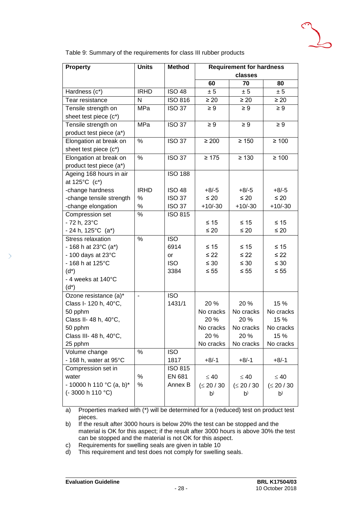

Table 9: Summary of the requirements for class III rubber products

| <b>Property</b>                 | <b>Units</b>             | <b>Method</b>  | <b>Requirement for hardness</b><br>classes |                |                |  |
|---------------------------------|--------------------------|----------------|--------------------------------------------|----------------|----------------|--|
|                                 |                          |                | 60                                         | 70             | 80             |  |
| Hardness (c*)                   | <b>IRHD</b>              | <b>ISO 48</b>  | ± 5                                        | ± 5            | ± 5            |  |
| Tear resistance                 | N                        | <b>ISO 816</b> | $\geq 20$                                  | $\geq 20$      | $\geq 20$      |  |
| Tensile strength on             | MPa                      | <b>ISO 37</b>  | $\geq 9$                                   | $\geq 9$       | $\geq 9$       |  |
| sheet test piece (c*)           |                          |                |                                            |                |                |  |
| Tensile strength on             | <b>MPa</b>               | <b>ISO 37</b>  | $\geq 9$                                   | $\geq 9$       | $\geq 9$       |  |
| product test piece (a*)         |                          |                |                                            |                |                |  |
| Elongation at break on          | $\%$                     | <b>ISO 37</b>  | $\geq 200$                                 | $\geq 150$     | $\geq 100$     |  |
| sheet test piece (c*)           |                          |                |                                            |                |                |  |
| Elongation at break on          | $\%$                     | <b>ISO 37</b>  | $\geq 175$                                 | $\geq 130$     | $\geq 100$     |  |
| product test piece (a*)         |                          |                |                                            |                |                |  |
| Ageing 168 hours in air         |                          | <b>ISO 188</b> |                                            |                |                |  |
| at 125°C (c*)                   |                          |                |                                            |                |                |  |
| -change hardness                | <b>IRHD</b>              | <b>ISO 48</b>  | $+8/ -5$                                   | $+8/-5$        | $+8/5$         |  |
| -change tensile strength        | $\%$                     | <b>ISO 37</b>  | $\leq 20$                                  | $\leq 20$      | $\leq 20$      |  |
| -change elongation              | %                        | <b>ISO 37</b>  | $+10/-30$                                  | $+10/-30$      | $+10/-30$      |  |
| Compression set                 | %                        | <b>ISO 815</b> |                                            |                |                |  |
| - 72 h, 23°C                    |                          |                | $\leq 15$                                  | $\leq 15$      | $\leq 15$      |  |
| $-24 h$ , 125°C (a*)            |                          |                | $\leq 20$                                  | $\leq 20$      | $\leq 20$      |  |
| Stress relaxation               | $\%$                     | <b>ISO</b>     |                                            |                |                |  |
| - 168 h at 23 $^{\circ}$ C (a*) |                          | 6914           | $≤ 15$                                     | $\leq 15$      | ≤ 15           |  |
| $-100$ days at 23 $\degree$ C   |                          | or             | $\leq 22$                                  | $\leq 22$      | $\leq 22$      |  |
| - 168 h at 125°C                |                          | <b>ISO</b>     | $\leq 30$                                  | $\leq 30$      | $\leq 30$      |  |
| $(d^*)$                         |                          | 3384           | $\leq 55$                                  | $\leq 55$      | $\leq 55$      |  |
| - 4 weeks at 140°C              |                          |                |                                            |                |                |  |
| $(d^*)$                         |                          |                |                                            |                |                |  |
| Ozone resistance (a)*           | $\overline{\phantom{a}}$ | <b>ISO</b>     |                                            |                |                |  |
| Class I- 120 h, 40°C,           |                          | 1431/1         | 20 %                                       | 20 %           | 15 %           |  |
| 50 pphm                         |                          |                | No cracks                                  | No cracks      | No cracks      |  |
| Class II- 48 h, 40°C,           |                          |                | 20 %                                       | 20 %           | 15 %           |  |
| 50 pphm                         |                          |                | No cracks                                  | No cracks      | No cracks      |  |
| Class III- 48 h, 40°C,          |                          |                | 20 %                                       | 20 %           | 15 %           |  |
| 25 pphm                         |                          |                | No cracks                                  | No cracks      | No cracks      |  |
| Volume change                   | %                        | <b>ISO</b>     |                                            |                |                |  |
| - 168 h, water at 95°C          |                          | 1817           | $+8/ -1$                                   | $+8/-1$        | $+8/ -1$       |  |
| Compression set in              |                          | <b>ISO 815</b> |                                            |                |                |  |
| water                           | %                        | EN 681         | $\leq 40$                                  | $\leq 40$      | $\leq 40$      |  |
| - 10000 h 110 °C (a, b)*        | %                        | Annex B        | (≤ 20 / 30)                                | (≤ 20 / 30)    | (≤ 20 / 30)    |  |
| $(-3000 h 110 °C)$              |                          |                | p <sub>0</sub>                             | p <sub>0</sub> | p <sub>0</sub> |  |
|                                 |                          |                |                                            |                |                |  |

a) Properties marked with (\*) will be determined for a (reduced) test on product test pieces.

b) If the result after 3000 hours is below 20% the test can be stopped and the material is OK for this aspect; if the result after 3000 hours is above 30% the test can be stopped and the material is not OK for this aspect.

c) Requirements for swelling seals are given in table 10

d) This requirement and test does not comply for swelling seals.

 $\mathcal{P}$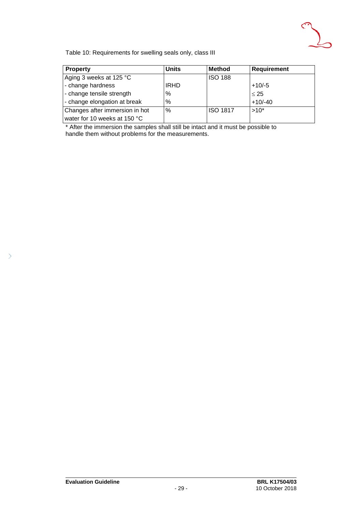

Table 10: Requirements for swelling seals only, class III

| <b>Property</b>                | <b>Units</b> | <b>Method</b>   | <b>Requirement</b> |
|--------------------------------|--------------|-----------------|--------------------|
| Aging 3 weeks at 125 °C        |              | <b>ISO 188</b>  |                    |
| - change hardness              | <b>IRHD</b>  |                 | $+10/-5$           |
| - change tensile strength      | ℅            |                 | $\leq 25$          |
| - change elongation at break   | ℅            |                 | $+10/-40$          |
| Changes after immersion in hot | %            | <b>ISO 1817</b> | $>10^*$            |
| water for 10 weeks at 150 °C   |              |                 |                    |

\* After the immersion the samples shall still be intact and it must be possible to handle them without problems for the measurements.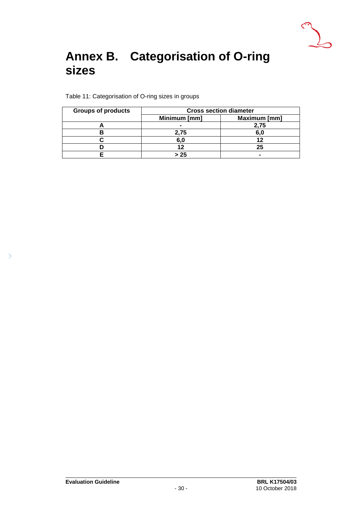

### <span id="page-30-0"></span>**Annex B. Categorisation of O-ring sizes**

Table 11: Categorisation of O-ring sizes in groups

| <b>Groups of products</b> | <b>Cross section diameter</b> |              |  |
|---------------------------|-------------------------------|--------------|--|
|                           | Minimum [mm]                  | Maximum [mm] |  |
|                           | -                             | 2.75         |  |
|                           | 2.75                          | 6.0          |  |
|                           | 6.0                           |              |  |
|                           |                               | 25           |  |
|                           | > 25                          |              |  |

 $\left\langle \right\rangle$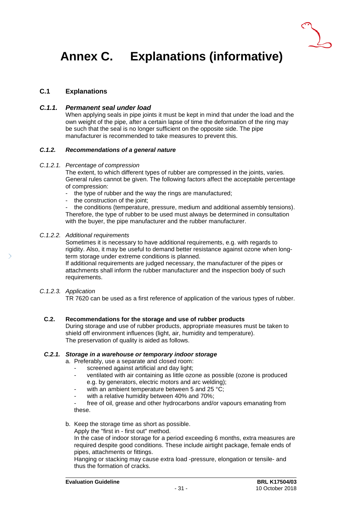

## <span id="page-31-0"></span>**Annex C. Explanations (informative)**

### **C.1 Explanations**

### *C.1.1. Permanent seal under load*

When applying seals in pipe joints it must be kept in mind that under the load and the own weight of the pipe, after a certain lapse of time the deformation of the ring may be such that the seal is no longer sufficient on the opposite side. The pipe manufacturer is recommended to take measures to prevent this.

### *C.1.2. Recommendations of a general nature*

#### *C.1.2.1. Percentage of compression*

The extent, to which different types of rubber are compressed in the joints, varies. General rules cannot be given. The following factors affect the acceptable percentage of compression:

- the type of rubber and the way the rings are manufactured;
- the construction of the joint;

the conditions (temperature, pressure, medium and additional assembly tensions). Therefore, the type of rubber to be used must always be determined in consultation with the buyer, the pipe manufacturer and the rubber manufacturer.

#### *C.1.2.2. Additional requirements*

Sometimes it is necessary to have additional requirements, e.g. with regards to rigidity. Also, it may be useful to demand better resistance against ozone when longterm storage under extreme conditions is planned.

If additional requirements are judged necessary, the manufacturer of the pipes or attachments shall inform the rubber manufacturer and the inspection body of such requirements.

### *C.1.2.3. Application*

TR 7620 can be used as a first reference of application of the various types of rubber.

### **C.2. Recommendations for the storage and use of rubber products**

During storage and use of rubber products, appropriate measures must be taken to shield off environment influences (light, air, humidity and temperature). The preservation of quality is aided as follows.

### *C.2.1. Storage in a warehouse or temporary indoor storage*

a. Preferably, use a separate and closed room:

- screened against artificial and day light;
- ventilated with air containing as little ozone as possible (ozone is produced e.g. by generators, electric motors and arc welding);
- with an ambient temperature between 5 and 25  $^{\circ}$ C;
- with a relative humidity between 40% and 70%;

free of oil, grease and other hydrocarbons and/or vapours emanating from these.

b. Keep the storage time as short as possible.

Apply the "first in - first out" method.

In the case of indoor storage for a period exceeding 6 months, extra measures are required despite good conditions. These include airtight package, female ends of pipes, attachments or fittings.

Hanging or stacking may cause extra load -pressure, elongation or tensile- and thus the formation of cracks.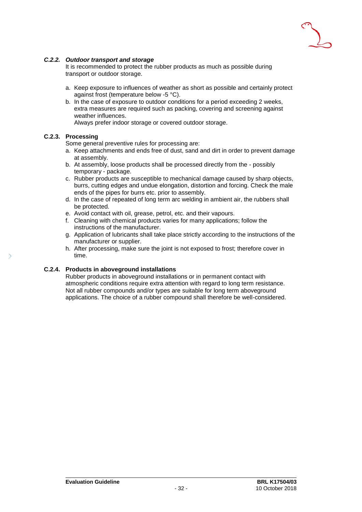

### *C.2.2. Outdoor transport and storage*

It is recommended to protect the rubber products as much as possible during transport or outdoor storage.

- a. Keep exposure to influences of weather as short as possible and certainly protect against frost (temperature below -5 °C).
- b. In the case of exposure to outdoor conditions for a period exceeding 2 weeks, extra measures are required such as packing, covering and screening against weather influences.

Always prefer indoor storage or covered outdoor storage.

### **C.2.3. Processing**

Some general preventive rules for processing are:

- a. Keep attachments and ends free of dust, sand and dirt in order to prevent damage at assembly.
- b. At assembly, loose products shall be processed directly from the possibly temporary - package.
- c. Rubber products are susceptible to mechanical damage caused by sharp objects, burrs, cutting edges and undue elongation, distortion and forcing. Check the male ends of the pipes for burrs etc. prior to assembly.
- d. In the case of repeated of long term arc welding in ambient air, the rubbers shall be protected.
- e. Avoid contact with oil, grease, petrol, etc. and their vapours.
- f. Cleaning with chemical products varies for many applications; follow the instructions of the manufacturer.
- g. Application of lubricants shall take place strictly according to the instructions of the manufacturer or supplier.
- h. After processing, make sure the joint is not exposed to frost; therefore cover in time.

#### **C.2.4. Products in aboveground installations**

Rubber products in aboveground installations or in permanent contact with atmospheric conditions require extra attention with regard to long term resistance. Not all rubber compounds and/or types are suitable for long term aboveground applications. The choice of a rubber compound shall therefore be well-considered.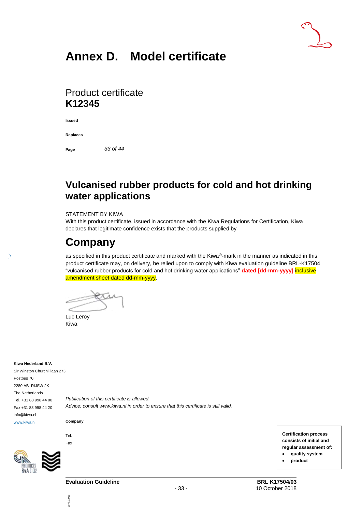### **Annex D. Model certificate**

### Product certificate **K12345**

**Issued**

**Replaces**

**Page** *33 of 44*

### **Vulcanised rubber products for cold and hot drinking water applications**

#### STATEMENT BY KIWA

With this product certificate, issued in accordance with the Kiwa Regulations for Certification, Kiwa declares that legitimate confidence exists that the products supplied by

### **Company**

as specified in this product certificate and marked with the Kiwa®-mark in the manner as indicated in this product certificate may, on delivery, be relied upon to comply with Kiwa evaluation guideline BRL-K17504 "vulcanised rubber products for cold and hot drinking water applications" **dated [dd-mm-yyyy]** inclusive amendment sheet dated dd-mm-yyyy.

Luc Leroy Kiwa

#### **Kiwa Nederland B.V.**

5

Sir Winston Churchilllaan 273 Postbus 70 2280 AB RIJSWIJK The Netherlands Tel. +31 88 998 44 00 Fax +31 88 998 44 20 info@kiwa.nl www.kiwa.nl

*Publication of this certificate is allowed. Advice: consult www.kiwa.nl in order to ensure that this certificate is still valid.*

**Company**

Tel. Fax

287/171015

287/171015



**Certification process consists of initial and regular assessment of:** • **quality system** • **product**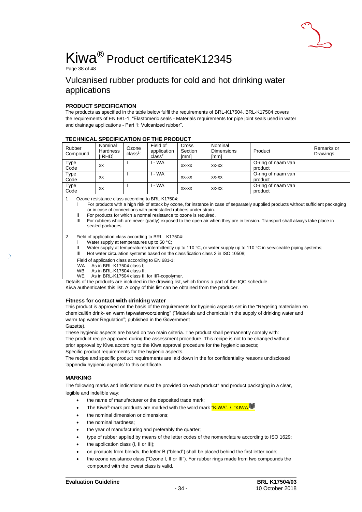

# Kiwa® Product certificateK12345

Page 38 of 48

### Vulcanised rubber products for cold and hot drinking water applications

#### **PRODUCT SPECIFICATION**

The products as specified in the table below fulfil the requirements of BRL-K17504. BRL-K17504 covers the requirements of EN 681-1, "Elastomeric seals - Materials requirements for pipe joint seals used in water and drainage applications - Part 1: Vulcanized rubber".

| <b>IECHNICAL SPECIFICATION OF THE PRODUCT</b> |                                      |                     |                                               |                          |                                      |                               |                        |
|-----------------------------------------------|--------------------------------------|---------------------|-----------------------------------------------|--------------------------|--------------------------------------|-------------------------------|------------------------|
| Rubber<br>Compound                            | Nominal<br><b>Hardness</b><br>[IRHD] | Ozone<br>$class1$ : | Field of<br>application<br>class <sup>2</sup> | Cross<br>Section<br>[mm] | Nominal<br><b>Dimensions</b><br>[mm] | Product                       | Remarks or<br>Drawings |
| Type<br>Code                                  | XX                                   |                     | - WA                                          | $XX-XX$                  | XX-XX                                | O-ring of naam van<br>product |                        |
| Type<br>Code                                  | XX                                   |                     | - WA                                          | $XX-XX$                  | XX-XX                                | O-ring of naam van<br>product |                        |
| Type<br>Code                                  | XX                                   |                     | - WA                                          | $XX-XX$                  | XX-XX                                | O-ring of naam van<br>product |                        |

### **TECHNICAL SPECIFICATION OF THE PRODUCT**

1 Ozone resistance class according to BRL-K17504:

For products with a high risk of attack by ozone, for instance in case of separately supplied products without sufficient packaging or in case of connections with preinstalled rubbers under strain.

II For products for which a normal resistance to ozone is required.

III For rubbers which are never (partly) exposed to the open air when they are in tension. Transport shall always take place in sealed packages.

#### 2 Field of application class according to BRL –K17504:

- Water supply at temperatures up to 50 °C;
- II Water supply at temperatures intermittently up to 110 °C, or water supply up to 110 °C in serviceable piping systems;
- III Hot water circulation systems based on the classification class 2 in ISO 10508;

Field of application class according to EN 681-1:

- WA As in BRI-K17504 class I<sup>t</sup>
- WB As in BRL-K17504 class II;
- WE As in BRL-K17504 class II, for IIR-copolymer.

Details of the products are included in the drawing list, which forms a part of the IQC schedule. Kiwa authenticates this list. A copy of this list can be obtained from the producer.

#### **Fitness for contact with drinking water**

This product is approved on the basis of the requirements for hygienic aspects set in the "Regeling materialen en chemicaliën drink- en warm tapwatervoorziening" ("Materials and chemicals in the supply of drinking water and warm tap water Regulation"; published in the Government

Gazette).

These hygienic aspects are based on two main criteria. The product shall permanently comply with: The product recipe approved during the assessment procedure. This recipe is not to be changed without prior approval by Kiwa according to the Kiwa approval procedure for the hygienic aspects;

Specific product requirements for the hygienic aspects.

The recipe and specific product requirements are laid down in the for confidentiality reasons undisclosed 'appendix hygienic aspects' to this certificate.

### **MARKING**

The following marks and indications must be provided on each product<sup>#</sup> and product packaging in a clear, legible and indelible way:

- the name of manufacturer or the deposited trade mark;
- The Kiwa®-mark products are marked with the word mark "KIWA". / "KIWA
- the nominal dimension or dimensions:
- the nominal hardness:
- the year of manufacturing and preferably the quarter;
- type of rubber applied by means of the letter codes of the nomenclature according to ISO 1629;
- the application class (I, II or III);
- on products from blends, the letter B ("blend") shall be placed behind the first letter code;
- the ozone resistance class ("Ozone I, II or III"). For rubber rings made from two compounds the compound with the lowest class is valid.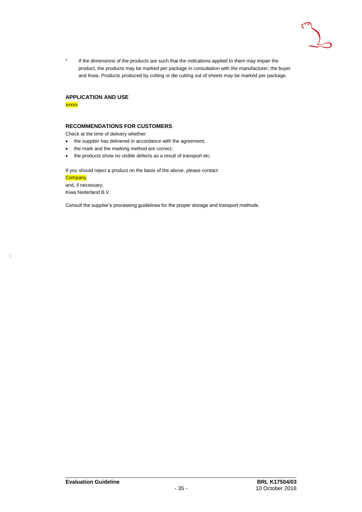

# If the dimensions of the products are such that the indications applied to them may impair the product, the products may be marked per package in consultation with the manufacturer, the buyer and Kiwa. Products produced by cutting or die cutting out of sheets may be marked per package.

### **APPLICATION AND USE**

xxxxx

#### **RECOMMENDATIONS FOR CUSTOMERS**

Check at the time of delivery whether:

- the supplier has delivered in accordance with the agreement;
- the mark and the marking method are correct;
- the products show no visible defects as a result of transport etc.

If you should reject a product on the basis of the above, please contact:

**Company** and, if necessary,

 $\overline{\phantom{0}}$ 

Kiwa Nederland B.V.

Consult the supplier's processing guidelines for the proper storage and transport methods.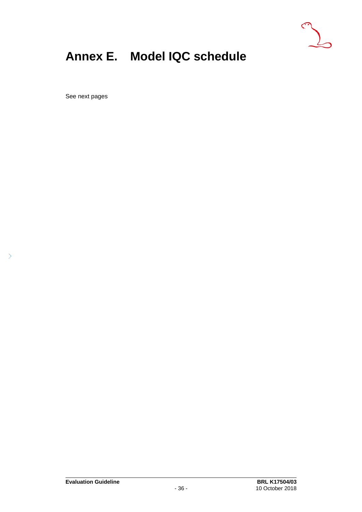

## <span id="page-36-0"></span>**Annex E. Model IQC schedule**

See next pages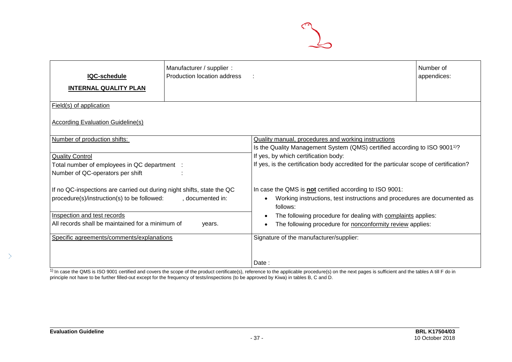

| IQC-schedule<br><b>INTERNAL QUALITY PLAN</b>                                                                                                                                                             | Manufacturer / supplier :<br>Production location address |                                                                                                                                                                                                                                                                                                        | Number of<br>appendices: |  |  |  |
|----------------------------------------------------------------------------------------------------------------------------------------------------------------------------------------------------------|----------------------------------------------------------|--------------------------------------------------------------------------------------------------------------------------------------------------------------------------------------------------------------------------------------------------------------------------------------------------------|--------------------------|--|--|--|
| Field(s) of application                                                                                                                                                                                  |                                                          |                                                                                                                                                                                                                                                                                                        |                          |  |  |  |
| <b>According Evaluation Guideline(s)</b>                                                                                                                                                                 |                                                          |                                                                                                                                                                                                                                                                                                        |                          |  |  |  |
| Number of production shifts:                                                                                                                                                                             |                                                          | Quality manual, procedures and working instructions                                                                                                                                                                                                                                                    |                          |  |  |  |
| <b>Quality Control</b><br>Total number of employees in QC department :<br>Number of QC-operators per shift                                                                                               |                                                          | Is the Quality Management System (QMS) certified according to ISO 9001 <sup>1</sup> ?<br>If yes, by which certification body:<br>If yes, is the certification body accredited for the particular scope of certification?                                                                               |                          |  |  |  |
| If no QC-inspections are carried out during night shifts, state the QC<br>procedure(s)/instruction(s) to be followed:<br>Inspection and test records<br>All records shall be maintained for a minimum of | , documented in:<br>years.                               | In case the QMS is not certified according to ISO 9001:<br>Working instructions, test instructions and procedures are documented as<br>$\bullet$<br>follows:<br>The following procedure for dealing with complaints applies:<br>$\bullet$<br>The following procedure for nonconformity review applies: |                          |  |  |  |
| Specific agreements/comments/explanations                                                                                                                                                                |                                                          | Signature of the manufacturer/supplier:                                                                                                                                                                                                                                                                |                          |  |  |  |
|                                                                                                                                                                                                          |                                                          | Date:                                                                                                                                                                                                                                                                                                  |                          |  |  |  |

 $1)$  In case the QMS is ISO 9001 certified and covers the scope of the product certificate(s), reference to the applicable procedure(s) on the next pages is sufficient and the tables A till F do in principle not have to be further filled-out except for the frequency of tests/inspections (to be approved by Kiwa) in tables B, C and D.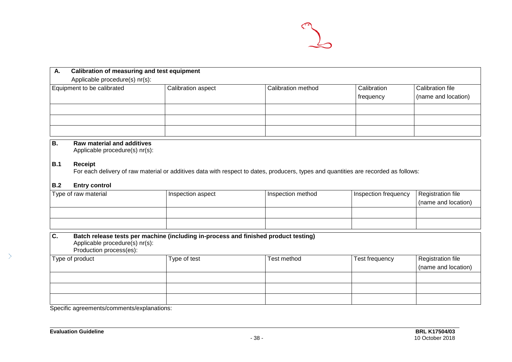

| А.<br>Applicable procedure(s) nr(s): | <b>Calibration of measuring and test equipment</b> |                    |                                   |                                         |  |  |  |
|--------------------------------------|----------------------------------------------------|--------------------|-----------------------------------|-----------------------------------------|--|--|--|
| Equipment to be calibrated           | Calibration aspect                                 | Calibration method | <b>Calibration</b><br>  frequency | Calibration file<br>(name and location) |  |  |  |
|                                      |                                                    |                    |                                   |                                         |  |  |  |
|                                      |                                                    |                    |                                   |                                         |  |  |  |
|                                      |                                                    |                    |                                   |                                         |  |  |  |

### **B. Raw material and additives**

Applicable procedure(s) nr(s):

### **B.1 Receipt**

For each delivery of raw material or additives data with respect to dates, producers, types and quantities are recorded as follows:

### **B.2 Entry control**

| Type of raw material | Inspection aspect | Inspection method | Inspection frequency | Registration file   |
|----------------------|-------------------|-------------------|----------------------|---------------------|
|                      |                   |                   |                      | (name and location) |
|                      |                   |                   |                      |                     |
|                      |                   |                   |                      |                     |

| Batch release tests per machine (including in-process and finished product testing)<br>C.<br>Applicable procedure(s) nr(s):<br>Production process(es): |              |             |                |                                          |  |  |
|--------------------------------------------------------------------------------------------------------------------------------------------------------|--------------|-------------|----------------|------------------------------------------|--|--|
| Type of product                                                                                                                                        | Type of test | Test method | Test frequency | Registration file<br>(name and location) |  |  |
|                                                                                                                                                        |              |             |                |                                          |  |  |
|                                                                                                                                                        |              |             |                |                                          |  |  |
|                                                                                                                                                        |              |             |                |                                          |  |  |

Specific agreements/comments/explanations:

 $\left\langle \right\rangle$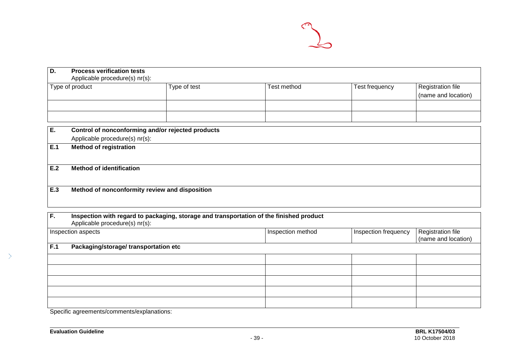

| D.  | <b>Process verification tests</b><br>Applicable procedure(s) nr(s): |                                                   |                                                                                         |                      |                                          |
|-----|---------------------------------------------------------------------|---------------------------------------------------|-----------------------------------------------------------------------------------------|----------------------|------------------------------------------|
|     | Type of product                                                     | Type of test                                      | <b>Test method</b>                                                                      | Test frequency       | Registration file<br>(name and location) |
|     |                                                                     |                                                   |                                                                                         |                      |                                          |
| E.  |                                                                     | Control of nonconforming and/or rejected products |                                                                                         |                      |                                          |
|     | Applicable procedure(s) nr(s):                                      |                                                   |                                                                                         |                      |                                          |
| E.1 | <b>Method of registration</b>                                       |                                                   |                                                                                         |                      |                                          |
| E.2 | <b>Method of identification</b>                                     |                                                   |                                                                                         |                      |                                          |
| E.3 |                                                                     | Method of nonconformity review and disposition    |                                                                                         |                      |                                          |
| F.  | Applicable procedure(s) nr(s):                                      |                                                   | Inspection with regard to packaging, storage and transportation of the finished product |                      |                                          |
|     | Inspection aspects                                                  |                                                   | Inspection method                                                                       | Inspection frequency | Registration file<br>(name and location) |
| F.1 | Packaging/storage/ transportation etc                               |                                                   |                                                                                         |                      |                                          |
|     |                                                                     |                                                   |                                                                                         |                      |                                          |
|     |                                                                     |                                                   |                                                                                         |                      |                                          |

Specific agreements/comments/explanations: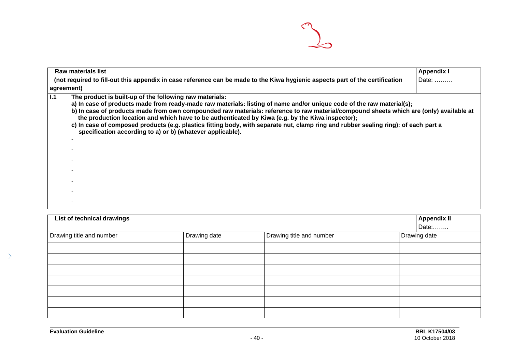

| Raw materials list                                                                                                                                                                                                                                                                                                                                                                                                                                                                                                                                                                                                                         | <b>Appendix I</b> |
|--------------------------------------------------------------------------------------------------------------------------------------------------------------------------------------------------------------------------------------------------------------------------------------------------------------------------------------------------------------------------------------------------------------------------------------------------------------------------------------------------------------------------------------------------------------------------------------------------------------------------------------------|-------------------|
| (not required to fill-out this appendix in case reference can be made to the Kiwa hygienic aspects part of the certification                                                                                                                                                                                                                                                                                                                                                                                                                                                                                                               | Date:             |
| agreement)                                                                                                                                                                                                                                                                                                                                                                                                                                                                                                                                                                                                                                 |                   |
| 1.1<br>The product is built-up of the following raw materials:<br>a) In case of products made from ready-made raw materials: listing of name and/or unique code of the raw material(s);<br>b) In case of products made from own compounded raw materials: reference to raw material/compound sheets which are (only) available at<br>the production location and which have to be authenticated by Kiwa (e.g. by the Kiwa inspector);<br>c) In case of composed products (e.g. plastics fitting body, with separate nut, clamp ring and rubber sealing ring): of each part a<br>specification according to a) or b) (whatever applicable). |                   |

| List of technical drawings |              |                          | <b>Appendix II</b><br>Date: |
|----------------------------|--------------|--------------------------|-----------------------------|
| Drawing title and number   | Drawing date | Drawing title and number | Drawing date                |
|                            |              |                          |                             |
|                            |              |                          |                             |
|                            |              |                          |                             |
|                            |              |                          |                             |
|                            |              |                          |                             |
|                            |              |                          |                             |
|                            |              |                          |                             |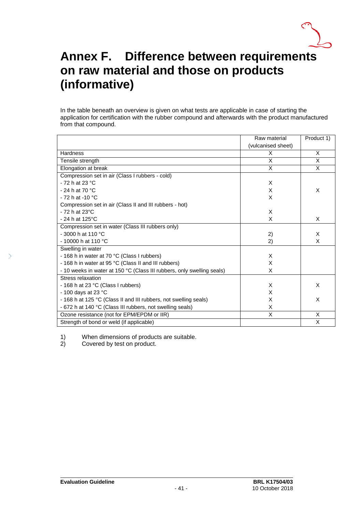

### <span id="page-41-0"></span>**Annex F. Difference between requirements on raw material and those on products (informative)**

In the table beneath an overview is given on what tests are applicable in case of starting the application for certification with the rubber compound and afterwards with the product manufactured from that compound.

|                                                                        | Raw material       | Product 1)   |
|------------------------------------------------------------------------|--------------------|--------------|
|                                                                        | (vulcanised sheet) |              |
| <b>Hardness</b>                                                        | X                  | X            |
| Tensile strength                                                       | X                  | X            |
| Elongation at break                                                    | X.                 | $\mathsf{X}$ |
| Compression set in air (Class I rubbers - cold)                        |                    |              |
| $-72h$ at 23 °C                                                        | X                  |              |
| - 24 h at 70 $^{\circ}$ C                                              | X                  | X            |
| - 72 h at -10 °C                                                       | X                  |              |
| Compression set in air (Class II and III rubbers - hot)                |                    |              |
| $-72h$ at 23 $°C$                                                      | X                  |              |
| $-24$ h at 125°C                                                       | X                  | X            |
| Compression set in water (Class III rubbers only)                      |                    |              |
| $-3000$ h at 110 °C                                                    | 2)                 | X            |
| $-10000$ h at 110 °C                                                   | 2)                 | X            |
| Swelling in water                                                      |                    |              |
| - 168 h in water at 70 °C (Class I rubbers)                            | X                  |              |
| - 168 h in water at 95 °C (Class II and III rubbers)                   | X                  |              |
| - 10 weeks in water at 150 °C (Class III rubbers, only swelling seals) | X                  |              |
| Stress relaxation                                                      |                    |              |
| - 168 h at 23 °C (Class I rubbers)                                     | X                  | X            |
| - 100 days at 23 $^{\circ}$ C                                          | X                  |              |
| - 168 h at 125 °C (Class II and III rubbers, not swelling seals)       | X                  | X            |
| - 672 h at 140 °C (Class III rubbers, not swelling seals)              | X                  |              |
| Ozone resistance (not for EPM/EPDM or IIR)                             | X                  | X            |
| Strength of bond or weld (if applicable)                               |                    | X            |

1) When dimensions of products are suitable.<br>2) Covered by test on product.

Covered by test on product.

 $\mathcal{P}$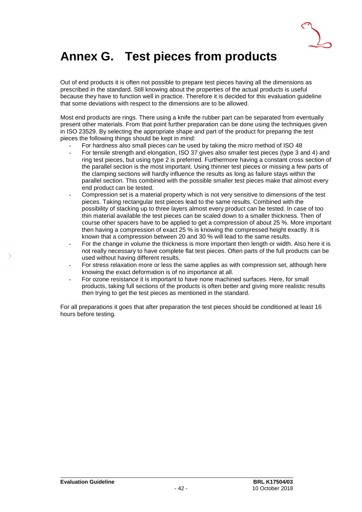

### <span id="page-42-0"></span>**Annex G. Test pieces from products**

Out of end products it is often not possible to prepare test pieces having all the dimensions as prescribed in the standard. Still knowing about the properties of the actual products is useful because they have to function well in practice. Therefore it is decided for this evaluation guideline that some deviations with respect to the dimensions are to be allowed.

Most end products are rings. There using a knife the rubber part can be separated from eventually present other materials. From that point further preparation can be done using the techniques given in ISO 23529. By selecting the appropriate shape and part of the product for preparing the test pieces the following things should be kept in mind:

- For hardness also small pieces can be used by taking the micro method of ISO 48
- For tensile strength and elongation, ISO 37 gives also smaller test pieces (type 3 and 4) and ring test pieces, but using type 2 is preferred. Furthermore having a constant cross section of the parallel section is the most important. Using thinner test pieces or missing a few parts of the clamping sections will hardly influence the results as long as failure stays within the parallel section. This combined with the possible smaller test pieces make that almost every end product can be tested.
- Compression set is a material property which is not very sensitive to dimensions of the test pieces. Taking rectangular test pieces lead to the same results. Combined with the possibility of stacking up to three layers almost every product can be tested. In case of too thin material available the test pieces can be scaled down to a smaller thickness. Then of course other spacers have to be applied to get a compression of about 25 %. More important then having a compression of exact 25 % is knowing the compressed height exactly. It is known that a compression between 20 and 30 % will lead to the same results.
- For the change in volume the thickness is more important then length or width. Also here it is not really necessary to have complete flat test pieces. Often parts of the full products can be used without having different results.
- For stress relaxation more or less the same applies as with compression set, although here knowing the exact deformation is of no importance at all.
- For ozone resistance it is important to have none machined surfaces. Here, for small products, taking full sections of the products is often better and giving more realistic results then trying to get the test pieces as mentioned in the standard.

For all preparations it goes that after preparation the test pieces should be conditioned at least 16 hours before testing.